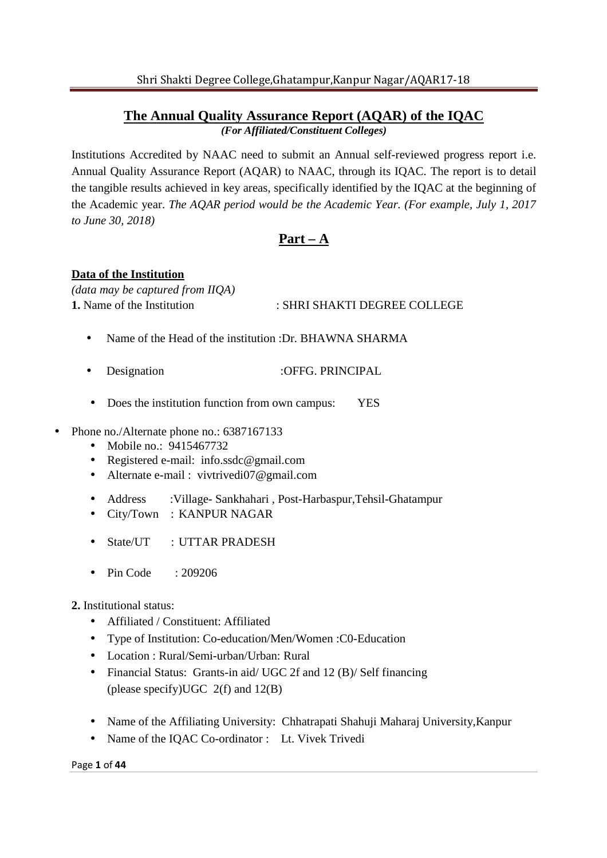## **The Annual Quality Assurance Report (AQAR) of the IQAC** *(For Affiliated/Constituent Colleges)*

Institutions Accredited by NAAC need to submit an Annual self-reviewed progress report i.e. Annual Quality Assurance Report (AQAR) to NAAC, through its IQAC. The report is to detail the tangible results achieved in key areas, specifically identified by the IQAC at the beginning of the Academic year. *The AQAR period would be the Academic Year. (For example, July 1, 2017 to June 30, 2018)* 

# **Part – A**

## **Data of the Institution**

*(data may be captured from IIQA)* 

## **1.** Name of the Institution : SHRI SHAKTI DEGREE COLLEGE

- Name of the Head of the institution :Dr. BHAWNA SHARMA
- **Designation : OFFG. PRINCIPAL**
- Does the institution function from own campus: YES
- Phone no./Alternate phone no.: 6387167133
	- Mobile no.: 9415467732
	- Registered e-mail: info.ssdc@gmail.com
	- Alternate e-mail : vivtrivedi07@gmail.com
	- Address :Village- Sankhahari , Post-Harbaspur,Tehsil-Ghatampur
	- City/Town : KANPUR NAGAR
	- State/UT : UTTAR PRADESH
	- Pin Code : 209206
	- **2.** Institutional status:
		- Affiliated / Constituent: Affiliated
		- Type of Institution: Co-education/Men/Women :C0-Education
		- Location : Rural/Semi-urban/Urban: Rural
		- Financial Status: Grants-in aid/ UGC 2f and 12 (B)/ Self financing (please specify)UGC 2(f) and 12(B)
		- Name of the Affiliating University: Chhatrapati Shahuji Maharaj University,Kanpur
		- Name of the IQAC Co-ordinator : Lt. Vivek Trivedi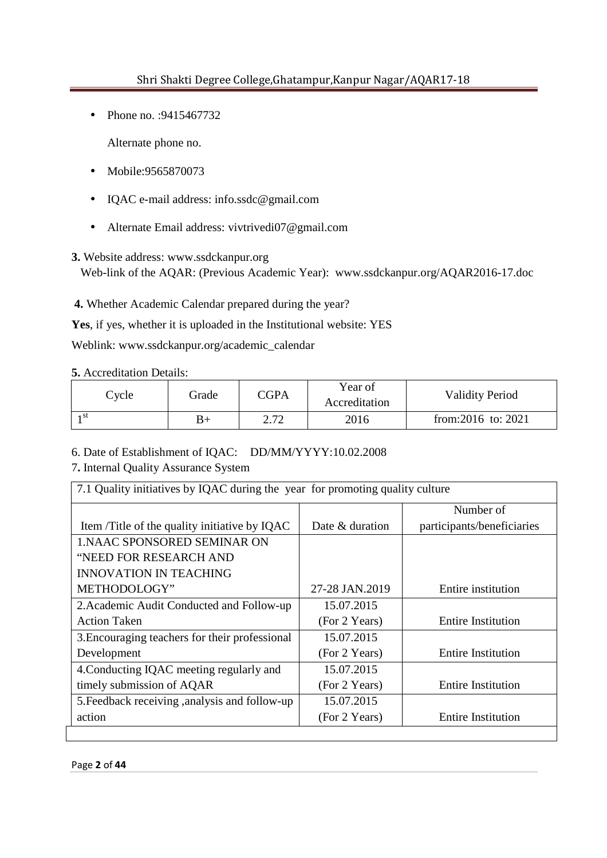• Phone no. : 9415467732

Alternate phone no.

- Mobile:9565870073
- IQAC e-mail address: info.ssdc@gmail.com
- Alternate Email address: vivtrivedi07@gmail.com

### **3.** Website address: www.ssdckanpur.org

Web-link of the AQAR: (Previous Academic Year): www.ssdckanpur.org/AQAR2016-17.doc

**4.** Whether Academic Calendar prepared during the year?

**Yes**, if yes, whether it is uploaded in the Institutional website: YES

Weblink: www.ssdckanpur.org/academic\_calendar

**5.** Accreditation Details:

| Cycle           | Grade | <b>CGPA</b> | Year of<br>Accreditation | <b>Validity Period</b> |
|-----------------|-------|-------------|--------------------------|------------------------|
| 1 <sub>st</sub> | B+    | 2.72        | 2016                     | from:2016 to: $2021$   |

6. Date of Establishment of IQAC: DD/MM/YYYY:10.02.2008

#### 7**.** Internal Quality Assurance System

| 7.1 Quality initiatives by IQAC during the year for promoting quality culture |                 |                            |  |  |  |  |  |
|-------------------------------------------------------------------------------|-----------------|----------------------------|--|--|--|--|--|
|                                                                               |                 | Number of                  |  |  |  |  |  |
| Item/Title of the quality initiative by IQAC                                  | Date & duration | participants/beneficiaries |  |  |  |  |  |
| <b>1. NAAC SPONSORED SEMINAR ON</b>                                           |                 |                            |  |  |  |  |  |
| "NEED FOR RESEARCH AND                                                        |                 |                            |  |  |  |  |  |
| <b>INNOVATION IN TEACHING</b>                                                 |                 |                            |  |  |  |  |  |
| METHODOLOGY"                                                                  | 27-28 JAN.2019  | Entire institution         |  |  |  |  |  |
| 2. Academic Audit Conducted and Follow-up                                     | 15.07.2015      |                            |  |  |  |  |  |
| <b>Action Taken</b>                                                           | (For 2 Years)   | <b>Entire Institution</b>  |  |  |  |  |  |
| 3. Encouraging teachers for their professional                                | 15.07.2015      |                            |  |  |  |  |  |
| Development                                                                   | (For 2 Years)   | <b>Entire Institution</b>  |  |  |  |  |  |
| 4. Conducting IQAC meeting regularly and                                      | 15.07.2015      |                            |  |  |  |  |  |
| timely submission of AQAR                                                     | (For 2 Years)   | <b>Entire Institution</b>  |  |  |  |  |  |
| 5. Feedback receiving, analysis and follow-up                                 | 15.07.2015      |                            |  |  |  |  |  |
| action                                                                        | (For 2 Years)   | <b>Entire Institution</b>  |  |  |  |  |  |
|                                                                               |                 |                            |  |  |  |  |  |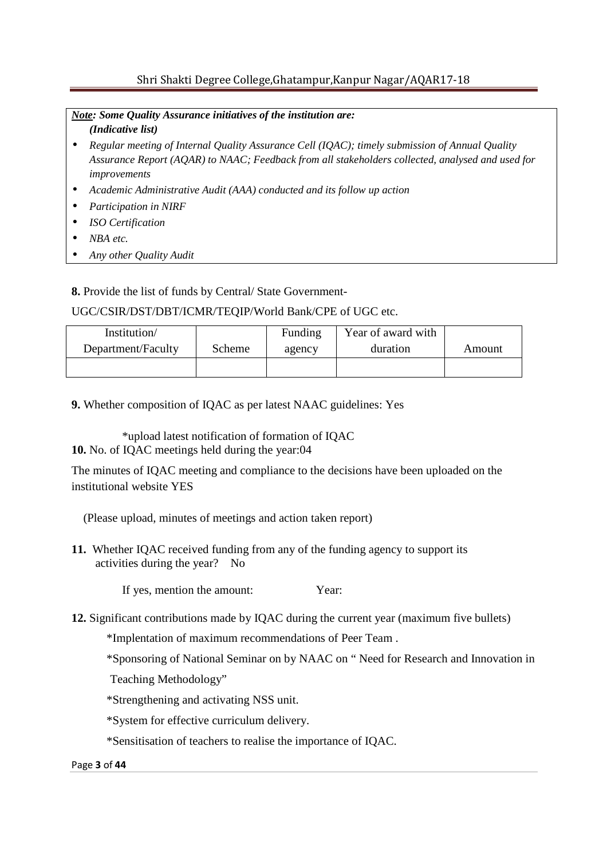*Note: Some Quality Assurance initiatives of the institution are: (Indicative list)*

- *Regular meeting of Internal Quality Assurance Cell (IQAC); timely submission of Annual Quality Assurance Report (AQAR) to NAAC; Feedback from all stakeholders collected, analysed and used for improvements*
- *Academic Administrative Audit (AAA) conducted and its follow up action*
- *Participation in NIRF*
- *ISO Certification*
- *NBA etc.*
- *Any other Quality Audit*

**8.** Provide the list of funds by Central/ State Government-

### UGC/CSIR/DST/DBT/ICMR/TEQIP/World Bank/CPE of UGC etc.

| Institution/       |        | Funding | Year of award with |        |
|--------------------|--------|---------|--------------------|--------|
| Department/Faculty | Scheme | agency  | duration           | Amount |
|                    |        |         |                    |        |

**9.** Whether composition of IQAC as per latest NAAC guidelines: Yes

\*upload latest notification of formation of IQAC **10.** No. of IQAC meetings held during the year:04

The minutes of IQAC meeting and compliance to the decisions have been uploaded on the institutional website YES

(Please upload, minutes of meetings and action taken report)

**11.** Whether IQAC received funding from any of the funding agency to support its activities during the year? No

If yes, mention the amount: Year:

**12.** Significant contributions made by IQAC during the current year (maximum five bullets)

\*Implentation of maximum recommendations of Peer Team .

\*Sponsoring of National Seminar on by NAAC on " Need for Research and Innovation in

Teaching Methodology"

\*Strengthening and activating NSS unit.

\*System for effective curriculum delivery.

\*Sensitisation of teachers to realise the importance of IQAC.

#### Page **3** of **44**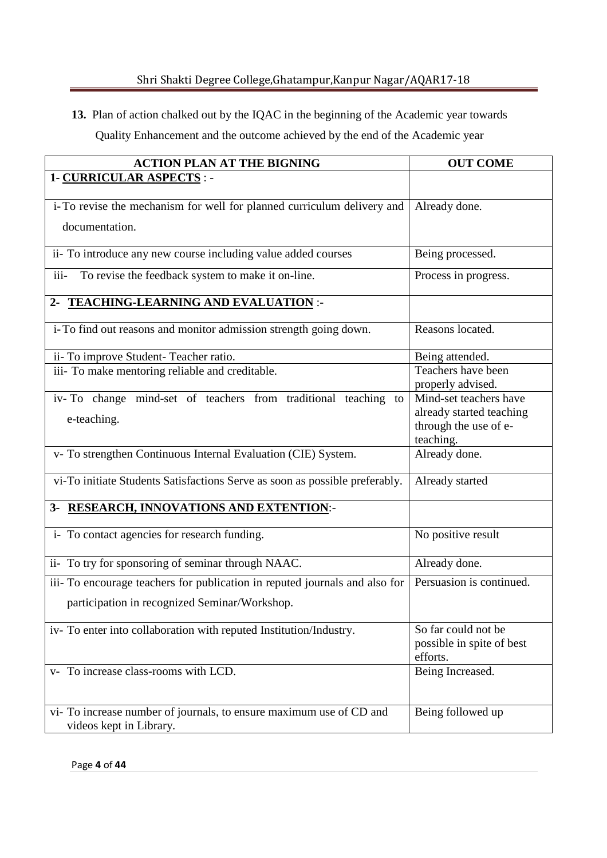**13.** Plan of action chalked out by the IQAC in the beginning of the Academic year towards Quality Enhancement and the outcome achieved by the end of the Academic year

| <b>ACTION PLAN AT THE BIGNING</b>                                                              | <b>OUT COME</b>                                                             |
|------------------------------------------------------------------------------------------------|-----------------------------------------------------------------------------|
| 1- CURRICULAR ASPECTS :-                                                                       |                                                                             |
| i-To revise the mechanism for well for planned curriculum delivery and                         | Already done.                                                               |
| documentation.                                                                                 |                                                                             |
| ii- To introduce any new course including value added courses                                  | Being processed.                                                            |
| iii-<br>To revise the feedback system to make it on-line.                                      | Process in progress.                                                        |
| 2- TEACHING-LEARNING AND EVALUATION :-                                                         |                                                                             |
| i-To find out reasons and monitor admission strength going down.                               | Reasons located.                                                            |
| ii- To improve Student-Teacher ratio.                                                          | Being attended.                                                             |
| iii- To make mentoring reliable and creditable.                                                | Teachers have been<br>properly advised.                                     |
| iv-To change mind-set of teachers from traditional teaching to<br>e-teaching.                  | Mind-set teachers have<br>already started teaching<br>through the use of e- |
|                                                                                                | teaching.                                                                   |
| v- To strengthen Continuous Internal Evaluation (CIE) System.                                  | Already done.                                                               |
| vi-To initiate Students Satisfactions Serve as soon as possible preferably.                    | Already started                                                             |
| 3- RESEARCH, INNOVATIONS AND EXTENTION:-                                                       |                                                                             |
| i- To contact agencies for research funding.                                                   | No positive result                                                          |
| ii- To try for sponsoring of seminar through NAAC.                                             | Already done.                                                               |
| iii- To encourage teachers for publication in reputed journals and also for                    | Persuasion is continued.                                                    |
| participation in recognized Seminar/Workshop.                                                  |                                                                             |
| iv-To enter into collaboration with reputed Institution/Industry.                              | So far could not be<br>possible in spite of best<br>efforts.                |
| v- To increase class-rooms with LCD.                                                           | Being Increased.                                                            |
| vi- To increase number of journals, to ensure maximum use of CD and<br>videos kept in Library. | Being followed up                                                           |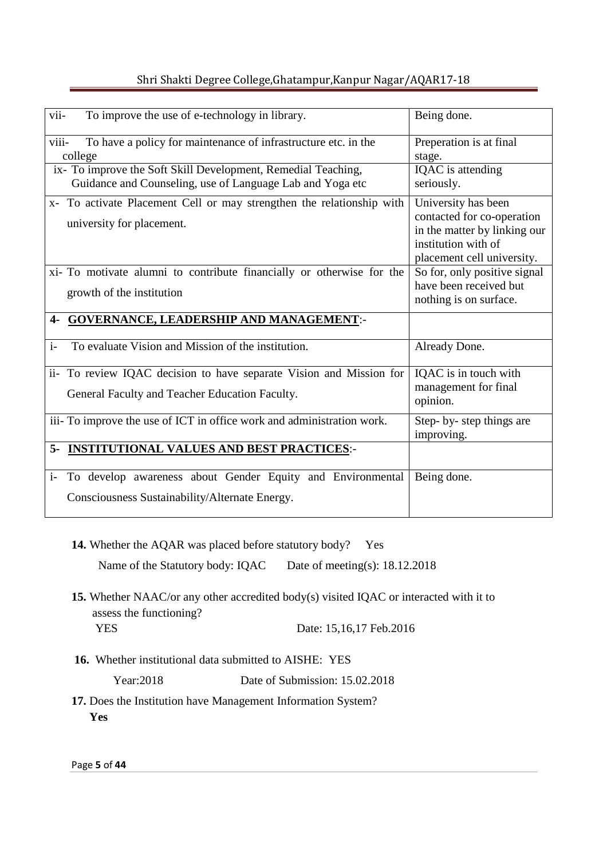|  |  |  | Shri Shakti Degree College, Ghatampur, Kanpur Nagar/AQAR17-18 |
|--|--|--|---------------------------------------------------------------|

| To improve the use of e-technology in library.<br>vii-                                                                     | Being done.                                                                                                                            |
|----------------------------------------------------------------------------------------------------------------------------|----------------------------------------------------------------------------------------------------------------------------------------|
| viii-<br>To have a policy for maintenance of infrastructure etc. in the<br>college                                         | Preperation is at final<br>stage.                                                                                                      |
| ix- To improve the Soft Skill Development, Remedial Teaching,<br>Guidance and Counseling, use of Language Lab and Yoga etc | IQAC is attending<br>seriously.                                                                                                        |
| x- To activate Placement Cell or may strengthen the relationship with<br>university for placement.                         | University has been<br>contacted for co-operation<br>in the matter by linking our<br>institution with of<br>placement cell university. |
| xi- To motivate alumni to contribute financially or otherwise for the<br>growth of the institution                         | So for, only positive signal<br>have been received but<br>nothing is on surface.                                                       |
| <b>GOVERNANCE, LEADERSHIP AND MANAGEMENT:-</b>                                                                             |                                                                                                                                        |
| To evaluate Vision and Mission of the institution.<br>$i-$                                                                 | Already Done.                                                                                                                          |
| ii- To review IQAC decision to have separate Vision and Mission for<br>General Faculty and Teacher Education Faculty.      | IQAC is in touch with<br>management for final<br>opinion.                                                                              |
| iii- To improve the use of ICT in office work and administration work.                                                     | Step- by- step things are<br>improving.                                                                                                |
| <b>INSTITUTIONAL VALUES AND BEST PRACTICES:-</b><br>5-                                                                     |                                                                                                                                        |
| To develop awareness about Gender Equity and Environmental<br>$i-$<br>Consciousness Sustainability/Alternate Energy.       | Being done.                                                                                                                            |

**14.** Whether the AQAR was placed before statutory body? Yes

Name of the Statutory body: IQAC Date of meeting(s): 18.12.2018

**15.** Whether NAAC/or any other accredited body(s) visited IQAC or interacted with it to assess the functioning?

**PARTICES** Date: 15,16,17 Feb.2016

**16.** Whether institutional data submitted to AISHE: YES

Year:2018 Date of Submission: 15.02.2018

**17.** Does the Institution have Management Information System? **Yes** 

Page **5** of **44**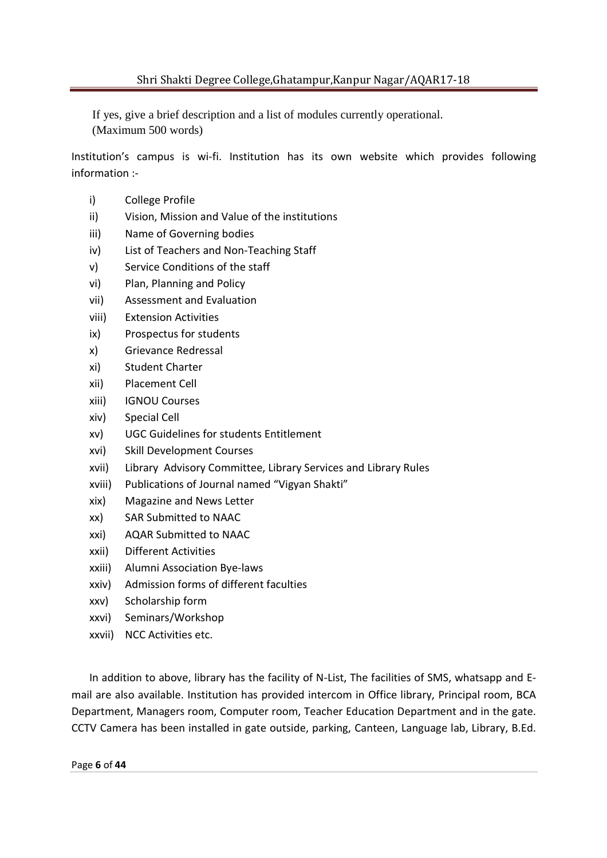If yes, give a brief description and a list of modules currently operational. (Maximum 500 words)

Institution's campus is wi-fi. Institution has its own website which provides following information :-

- i) College Profile
- ii) Vision, Mission and Value of the institutions
- iii) Name of Governing bodies
- iv) List of Teachers and Non-Teaching Staff
- v) Service Conditions of the staff
- vi) Plan, Planning and Policy
- vii) Assessment and Evaluation
- viii) Extension Activities
- ix) Prospectus for students
- x) Grievance Redressal
- xi) Student Charter
- xii) Placement Cell
- xiii) IGNOU Courses
- xiv) Special Cell
- xv) UGC Guidelines for students Entitlement
- xvi) Skill Development Courses
- xvii) Library Advisory Committee, Library Services and Library Rules
- xviii) Publications of Journal named "Vigyan Shakti"
- xix) Magazine and News Letter
- xx) SAR Submitted to NAAC
- xxi) AQAR Submitted to NAAC
- xxii) Different Activities
- xxiii) Alumni Association Bye-laws
- xxiv) Admission forms of different faculties
- xxv) Scholarship form
- xxvi) Seminars/Workshop
- xxvii) NCC Activities etc.

In addition to above, library has the facility of N-List, The facilities of SMS, whatsapp and Email are also available. Institution has provided intercom in Office library, Principal room, BCA Department, Managers room, Computer room, Teacher Education Department and in the gate. CCTV Camera has been installed in gate outside, parking, Canteen, Language lab, Library, B.Ed.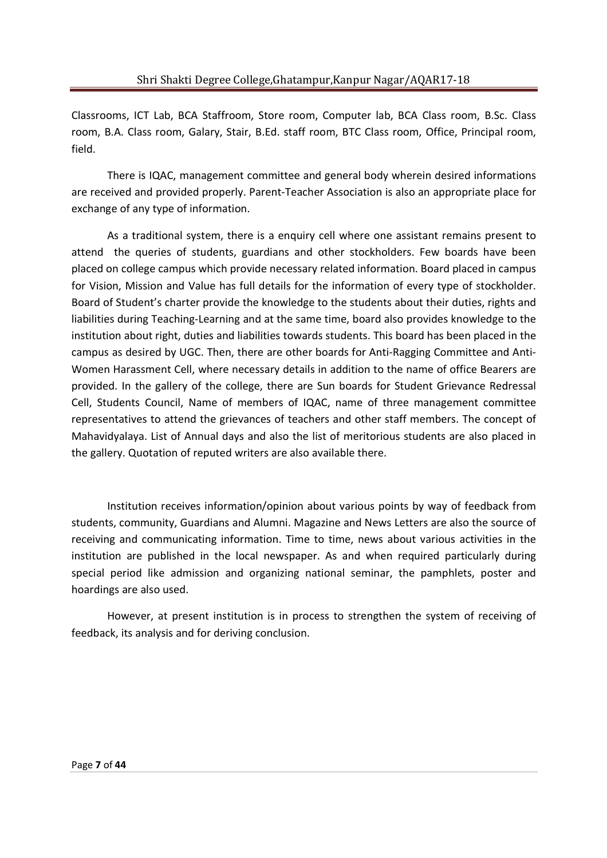Classrooms, ICT Lab, BCA Staffroom, Store room, Computer lab, BCA Class room, B.Sc. Class room, B.A. Class room, Galary, Stair, B.Ed. staff room, BTC Class room, Office, Principal room, field.

 There is IQAC, management committee and general body wherein desired informations are received and provided properly. Parent-Teacher Association is also an appropriate place for exchange of any type of information.

 As a traditional system, there is a enquiry cell where one assistant remains present to attend the queries of students, guardians and other stockholders. Few boards have been placed on college campus which provide necessary related information. Board placed in campus for Vision, Mission and Value has full details for the information of every type of stockholder. Board of Student's charter provide the knowledge to the students about their duties, rights and liabilities during Teaching-Learning and at the same time, board also provides knowledge to the institution about right, duties and liabilities towards students. This board has been placed in the campus as desired by UGC. Then, there are other boards for Anti-Ragging Committee and Anti-Women Harassment Cell, where necessary details in addition to the name of office Bearers are provided. In the gallery of the college, there are Sun boards for Student Grievance Redressal Cell, Students Council, Name of members of IQAC, name of three management committee representatives to attend the grievances of teachers and other staff members. The concept of Mahavidyalaya. List of Annual days and also the list of meritorious students are also placed in the gallery. Quotation of reputed writers are also available there.

 Institution receives information/opinion about various points by way of feedback from students, community, Guardians and Alumni. Magazine and News Letters are also the source of receiving and communicating information. Time to time, news about various activities in the institution are published in the local newspaper. As and when required particularly during special period like admission and organizing national seminar, the pamphlets, poster and hoardings are also used.

 However, at present institution is in process to strengthen the system of receiving of feedback, its analysis and for deriving conclusion.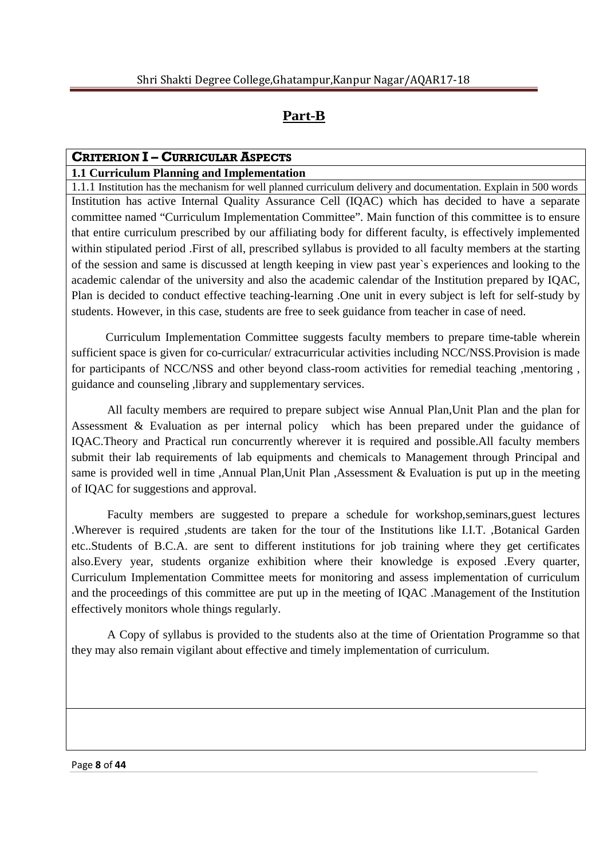# **Part-B**

# **CRITERION I – CURRICULAR ASPECTS**

# **1.1 Curriculum Planning and Implementation**

1.1.1 Institution has the mechanism for well planned curriculum delivery and documentation. Explain in 500 words Institution has active Internal Quality Assurance Cell (IQAC) which has decided to have a separate committee named "Curriculum Implementation Committee". Main function of this committee is to ensure that entire curriculum prescribed by our affiliating body for different faculty, is effectively implemented within stipulated period .First of all, prescribed syllabus is provided to all faculty members at the starting of the session and same is discussed at length keeping in view past year`s experiences and looking to the academic calendar of the university and also the academic calendar of the Institution prepared by IQAC, Plan is decided to conduct effective teaching-learning .One unit in every subject is left for self-study by students. However, in this case, students are free to seek guidance from teacher in case of need.

 Curriculum Implementation Committee suggests faculty members to prepare time-table wherein sufficient space is given for co-curricular/ extracurricular activities including NCC/NSS. Provision is made for participants of NCC/NSS and other beyond class-room activities for remedial teaching ,mentoring , guidance and counseling ,library and supplementary services.

 All faculty members are required to prepare subject wise Annual Plan,Unit Plan and the plan for Assessment & Evaluation as per internal policy which has been prepared under the guidance of IQAC.Theory and Practical run concurrently wherever it is required and possible.All faculty members submit their lab requirements of lab equipments and chemicals to Management through Principal and same is provided well in time ,Annual Plan,Unit Plan ,Assessment & Evaluation is put up in the meeting of IQAC for suggestions and approval.

 Faculty members are suggested to prepare a schedule for workshop,seminars,guest lectures .Wherever is required ,students are taken for the tour of the Institutions like I.I.T. ,Botanical Garden etc..Students of B.C.A. are sent to different institutions for job training where they get certificates also.Every year, students organize exhibition where their knowledge is exposed .Every quarter, Curriculum Implementation Committee meets for monitoring and assess implementation of curriculum and the proceedings of this committee are put up in the meeting of IQAC .Management of the Institution effectively monitors whole things regularly.

 A Copy of syllabus is provided to the students also at the time of Orientation Programme so that they may also remain vigilant about effective and timely implementation of curriculum.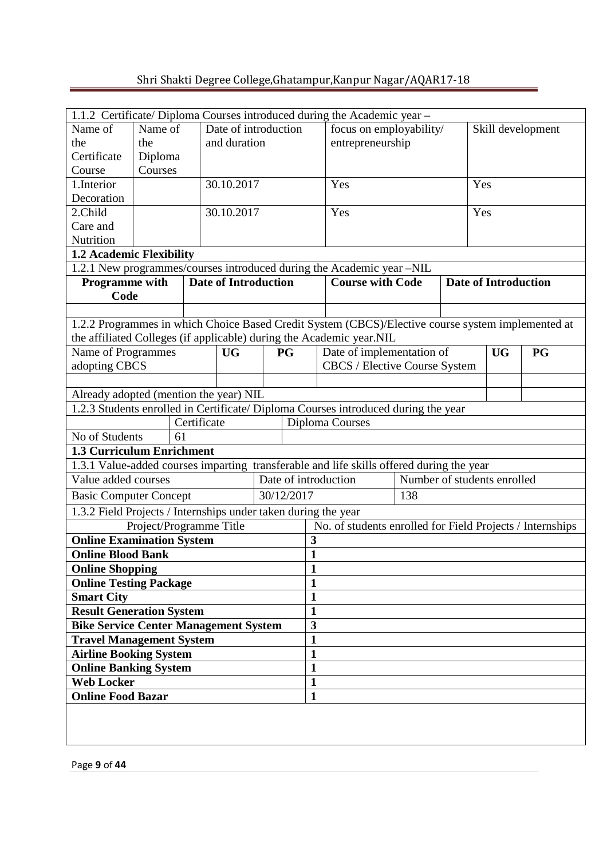|                                                                |                         |             |                             |              |                                              | 1.1.2 Certificate/ Diploma Courses introduced during the Academic year -                          |  |                             |           |           |
|----------------------------------------------------------------|-------------------------|-------------|-----------------------------|--------------|----------------------------------------------|---------------------------------------------------------------------------------------------------|--|-----------------------------|-----------|-----------|
| Name of<br>Date of introduction<br>Name of                     |                         |             |                             |              | focus on employability/<br>Skill development |                                                                                                   |  |                             |           |           |
| the                                                            | the                     |             | and duration                |              |                                              | entrepreneurship                                                                                  |  |                             |           |           |
| Certificate                                                    | Diploma                 |             |                             |              |                                              |                                                                                                   |  |                             |           |           |
| Course                                                         | Courses                 |             |                             |              |                                              |                                                                                                   |  |                             |           |           |
| 1.Interior                                                     |                         |             | 30.10.2017                  |              |                                              | Yes                                                                                               |  | Yes                         |           |           |
| Decoration                                                     |                         |             |                             |              |                                              |                                                                                                   |  |                             |           |           |
| 2.Child                                                        |                         |             | 30.10.2017                  |              |                                              | Yes                                                                                               |  | Yes                         |           |           |
| Care and                                                       |                         |             |                             |              |                                              |                                                                                                   |  |                             |           |           |
| Nutrition                                                      |                         |             |                             |              |                                              |                                                                                                   |  |                             |           |           |
| <b>1.2 Academic Flexibility</b>                                |                         |             |                             |              |                                              |                                                                                                   |  |                             |           |           |
|                                                                |                         |             |                             |              |                                              | 1.2.1 New programmes/courses introduced during the Academic year -NIL                             |  |                             |           |           |
| <b>Programme</b> with                                          |                         |             | <b>Date of Introduction</b> |              |                                              | <b>Course with Code</b>                                                                           |  | <b>Date of Introduction</b> |           |           |
| Code                                                           |                         |             |                             |              |                                              |                                                                                                   |  |                             |           |           |
|                                                                |                         |             |                             |              |                                              |                                                                                                   |  |                             |           |           |
|                                                                |                         |             |                             |              |                                              | 1.2.2 Programmes in which Choice Based Credit System (CBCS)/Elective course system implemented at |  |                             |           |           |
|                                                                |                         |             |                             |              |                                              | the affiliated Colleges (if applicable) during the Academic year.NIL                              |  |                             |           |           |
| <b>Name of Programmes</b>                                      |                         |             | <b>UG</b>                   | PG           |                                              | Date of implementation of                                                                         |  |                             | <b>UG</b> | <b>PG</b> |
| adopting CBCS                                                  |                         |             |                             |              |                                              | CBCS / Elective Course System                                                                     |  |                             |           |           |
|                                                                |                         |             |                             |              |                                              |                                                                                                   |  |                             |           |           |
| Already adopted (mention the year) NIL                         |                         |             |                             |              |                                              |                                                                                                   |  |                             |           |           |
|                                                                |                         |             |                             |              |                                              | 1.2.3 Students enrolled in Certificate/ Diploma Courses introduced during the year                |  |                             |           |           |
|                                                                |                         | Certificate |                             |              |                                              | Diploma Courses                                                                                   |  |                             |           |           |
| No of Students                                                 | 61                      |             |                             |              |                                              |                                                                                                   |  |                             |           |           |
| <b>1.3 Curriculum Enrichment</b>                               |                         |             |                             |              |                                              |                                                                                                   |  |                             |           |           |
|                                                                |                         |             |                             |              |                                              | 1.3.1 Value-added courses imparting transferable and life skills offered during the year          |  |                             |           |           |
| Value added courses                                            |                         |             |                             |              |                                              | Date of introduction<br>Number of students enrolled                                               |  |                             |           |           |
| <b>Basic Computer Concept</b>                                  |                         |             |                             | 30/12/2017   |                                              | 138                                                                                               |  |                             |           |           |
| 1.3.2 Field Projects / Internships under taken during the year |                         |             |                             |              |                                              |                                                                                                   |  |                             |           |           |
|                                                                | Project/Programme Title |             |                             |              |                                              | No. of students enrolled for Field Projects / Internships                                         |  |                             |           |           |
| <b>Online Examination System</b>                               |                         |             |                             |              |                                              | 3                                                                                                 |  |                             |           |           |
| <b>Online Blood Bank</b>                                       |                         |             |                             |              |                                              | $\mathbf{1}$                                                                                      |  |                             |           |           |
| <b>Online Shopping</b>                                         |                         |             |                             |              | $\mathbf{1}$                                 |                                                                                                   |  |                             |           |           |
| <b>Online Testing Package</b>                                  |                         |             |                             |              | $\mathbf{1}$                                 |                                                                                                   |  |                             |           |           |
| <b>Smart City</b>                                              |                         |             |                             | $\mathbf{1}$ |                                              |                                                                                                   |  |                             |           |           |
| <b>Result Generation System</b>                                |                         |             |                             | $\mathbf{1}$ |                                              |                                                                                                   |  |                             |           |           |
| <b>Bike Service Center Management System</b>                   |                         |             |                             | 3            |                                              |                                                                                                   |  |                             |           |           |
| <b>Travel Management System</b>                                |                         |             |                             | $\mathbf{1}$ |                                              |                                                                                                   |  |                             |           |           |
| <b>Airline Booking System</b>                                  |                         |             |                             | $\mathbf{1}$ |                                              |                                                                                                   |  |                             |           |           |
| <b>Online Banking System</b>                                   |                         |             |                             | $\mathbf{1}$ |                                              |                                                                                                   |  |                             |           |           |
| <b>Web Locker</b>                                              |                         |             |                             | $\mathbf{1}$ |                                              |                                                                                                   |  |                             |           |           |
| <b>Online Food Bazar</b>                                       |                         |             |                             |              | $\mathbf{1}$                                 |                                                                                                   |  |                             |           |           |
|                                                                |                         |             |                             |              |                                              |                                                                                                   |  |                             |           |           |
|                                                                |                         |             |                             |              |                                              |                                                                                                   |  |                             |           |           |
|                                                                |                         |             |                             |              |                                              |                                                                                                   |  |                             |           |           |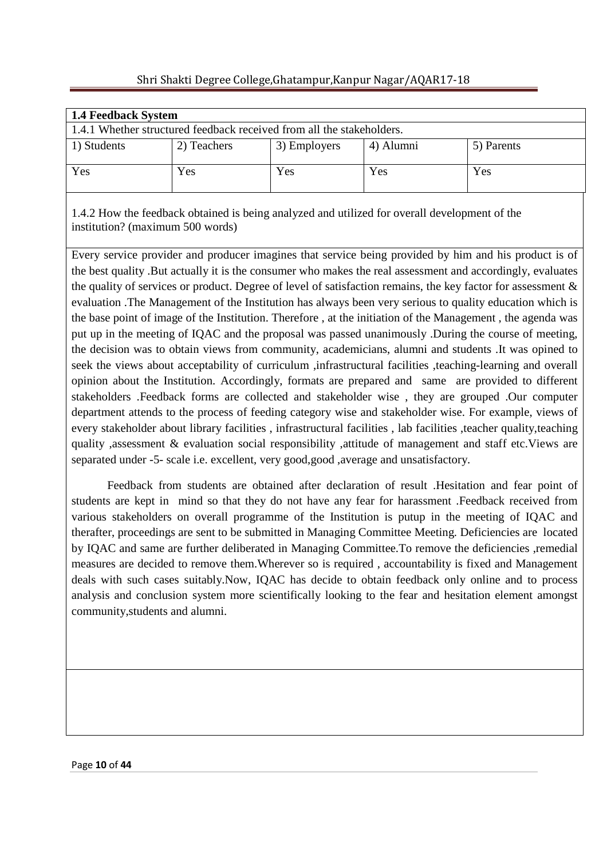| 1.4 Feedback System                                                   |             |              |           |            |  |  |  |
|-----------------------------------------------------------------------|-------------|--------------|-----------|------------|--|--|--|
| 1.4.1 Whether structured feedback received from all the stakeholders. |             |              |           |            |  |  |  |
| 1) Students                                                           | 2) Teachers | 3) Employers | 4) Alumni | 5) Parents |  |  |  |
| Yes                                                                   | Yes         | Yes          | Yes       | Yes        |  |  |  |

1.4.2 How the feedback obtained is being analyzed and utilized for overall development of the institution? (maximum 500 words)

Every service provider and producer imagines that service being provided by him and his product is of the best quality .But actually it is the consumer who makes the real assessment and accordingly, evaluates the quality of services or product. Degree of level of satisfaction remains, the key factor for assessment & evaluation .The Management of the Institution has always been very serious to quality education which is the base point of image of the Institution. Therefore , at the initiation of the Management , the agenda was put up in the meeting of IQAC and the proposal was passed unanimously .During the course of meeting, the decision was to obtain views from community, academicians, alumni and students .It was opined to seek the views about acceptability of curriculum ,infrastructural facilities ,teaching-learning and overall opinion about the Institution. Accordingly, formats are prepared and same are provided to different stakeholders .Feedback forms are collected and stakeholder wise , they are grouped .Our computer department attends to the process of feeding category wise and stakeholder wise. For example, views of every stakeholder about library facilities , infrastructural facilities , lab facilities ,teacher quality,teaching quality ,assessment & evaluation social responsibility ,attitude of management and staff etc.Views are separated under -5- scale i.e. excellent, very good,good ,average and unsatisfactory.

 Feedback from students are obtained after declaration of result .Hesitation and fear point of students are kept in mind so that they do not have any fear for harassment .Feedback received from various stakeholders on overall programme of the Institution is putup in the meeting of IQAC and therafter, proceedings are sent to be submitted in Managing Committee Meeting. Deficiencies are located by IQAC and same are further deliberated in Managing Committee.To remove the deficiencies ,remedial measures are decided to remove them.Wherever so is required , accountability is fixed and Management deals with such cases suitably.Now, IQAC has decide to obtain feedback only online and to process analysis and conclusion system more scientifically looking to the fear and hesitation element amongst community,students and alumni.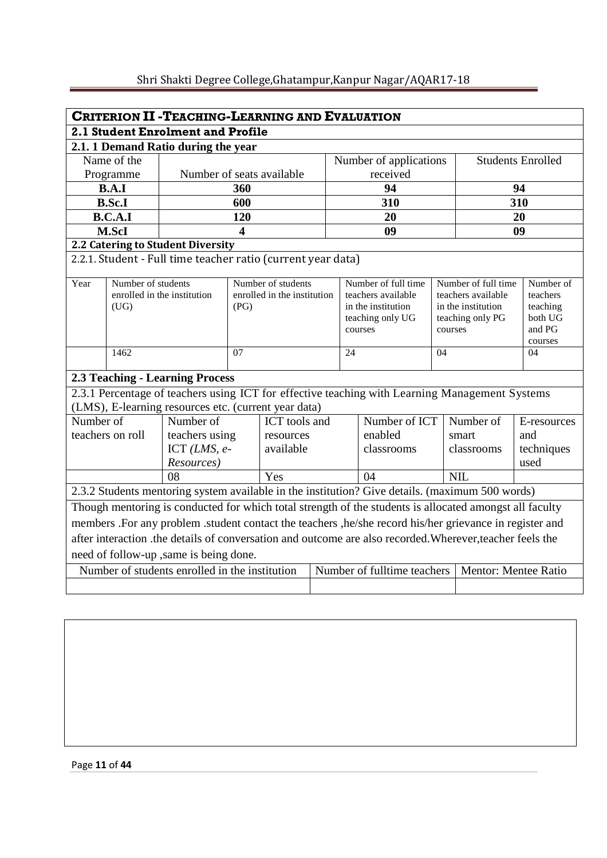| <b>CRITERION II - TEACHING-LEARNING AND EVALUATION</b>                                                    |                                   |                                                              |      |                             |           |         |                                                                                                 |                             |                      |                     |
|-----------------------------------------------------------------------------------------------------------|-----------------------------------|--------------------------------------------------------------|------|-----------------------------|-----------|---------|-------------------------------------------------------------------------------------------------|-----------------------------|----------------------|---------------------|
|                                                                                                           | 2.1 Student Enrolment and Profile |                                                              |      |                             |           |         |                                                                                                 |                             |                      |                     |
|                                                                                                           |                                   | 2.1.1 Demand Ratio during the year                           |      |                             |           |         |                                                                                                 |                             |                      |                     |
| Name of the<br><b>Students Enrolled</b><br>Number of applications                                         |                                   |                                                              |      |                             |           |         |                                                                                                 |                             |                      |                     |
|                                                                                                           | Programme                         | Number of seats available                                    |      |                             |           |         | received                                                                                        |                             |                      |                     |
|                                                                                                           | B.A.I                             |                                                              | 360  |                             |           |         | 94                                                                                              |                             |                      | 94                  |
|                                                                                                           | <b>B.Sc.I</b>                     |                                                              | 600  |                             |           |         | 310                                                                                             |                             |                      | 310                 |
|                                                                                                           | B.C.A.I                           |                                                              | 120  |                             |           |         | 20                                                                                              |                             |                      | 20                  |
|                                                                                                           | M.ScI                             |                                                              | 4    |                             |           |         | 09                                                                                              |                             |                      | 09                  |
|                                                                                                           |                                   | 2.2 Catering to Student Diversity                            |      |                             |           |         |                                                                                                 |                             |                      |                     |
|                                                                                                           |                                   | 2.2.1. Student - Full time teacher ratio (current year data) |      |                             |           |         |                                                                                                 |                             |                      |                     |
| Year                                                                                                      | Number of students                |                                                              |      | Number of students          |           |         | Number of full time                                                                             |                             | Number of full time  | Number of           |
|                                                                                                           |                                   | enrolled in the institution                                  |      | enrolled in the institution |           |         | teachers available                                                                              |                             | teachers available   | teachers            |
|                                                                                                           | (UG)                              |                                                              | (PG) |                             |           |         | in the institution<br>teaching only UG                                                          |                             | in the institution   | teaching<br>both UG |
|                                                                                                           |                                   |                                                              |      |                             |           | courses |                                                                                                 | teaching only PG<br>courses |                      | and PG              |
|                                                                                                           |                                   |                                                              |      |                             |           |         |                                                                                                 |                             |                      | courses             |
|                                                                                                           | 1462                              |                                                              | 07   |                             |           | 24      | 04                                                                                              |                             |                      | 04                  |
|                                                                                                           |                                   | <b>2.3 Teaching - Learning Process</b>                       |      |                             |           |         |                                                                                                 |                             |                      |                     |
|                                                                                                           |                                   |                                                              |      |                             |           |         | 2.3.1 Percentage of teachers using ICT for effective teaching with Learning Management Systems  |                             |                      |                     |
|                                                                                                           |                                   | (LMS), E-learning resources etc. (current year data)         |      |                             |           |         |                                                                                                 |                             |                      |                     |
| Number of                                                                                                 |                                   | Number of                                                    |      | ICT tools and               |           |         | Number of ICT                                                                                   |                             | Number of            | E-resources         |
|                                                                                                           | teachers on roll                  | teachers using                                               |      |                             | resources |         | enabled                                                                                         |                             | smart                | and                 |
|                                                                                                           |                                   | ICT $(LMS, e-$                                               |      | available                   |           |         | classrooms                                                                                      |                             | classrooms           | techniques          |
|                                                                                                           |                                   | Resources)                                                   |      |                             |           |         |                                                                                                 |                             |                      | used                |
|                                                                                                           |                                   | 08                                                           |      | Yes                         |           |         | 04                                                                                              |                             | <b>NIL</b>           |                     |
|                                                                                                           |                                   |                                                              |      |                             |           |         | 2.3.2 Students mentoring system available in the institution? Give details. (maximum 500 words) |                             |                      |                     |
| Though mentoring is conducted for which total strength of the students is allocated amongst all faculty   |                                   |                                                              |      |                             |           |         |                                                                                                 |                             |                      |                     |
| members .For any problem .student contact the teachers ,he/she record his/her grievance in register and   |                                   |                                                              |      |                             |           |         |                                                                                                 |                             |                      |                     |
| after interaction .the details of conversation and outcome are also recorded. Wherever, teacher feels the |                                   |                                                              |      |                             |           |         |                                                                                                 |                             |                      |                     |
|                                                                                                           |                                   | need of follow-up , same is being done.                      |      |                             |           |         |                                                                                                 |                             |                      |                     |
|                                                                                                           |                                   | Number of students enrolled in the institution               |      |                             |           |         | Number of fulltime teachers                                                                     |                             | Mentor: Mentee Ratio |                     |
|                                                                                                           |                                   |                                                              |      |                             |           |         |                                                                                                 |                             |                      |                     |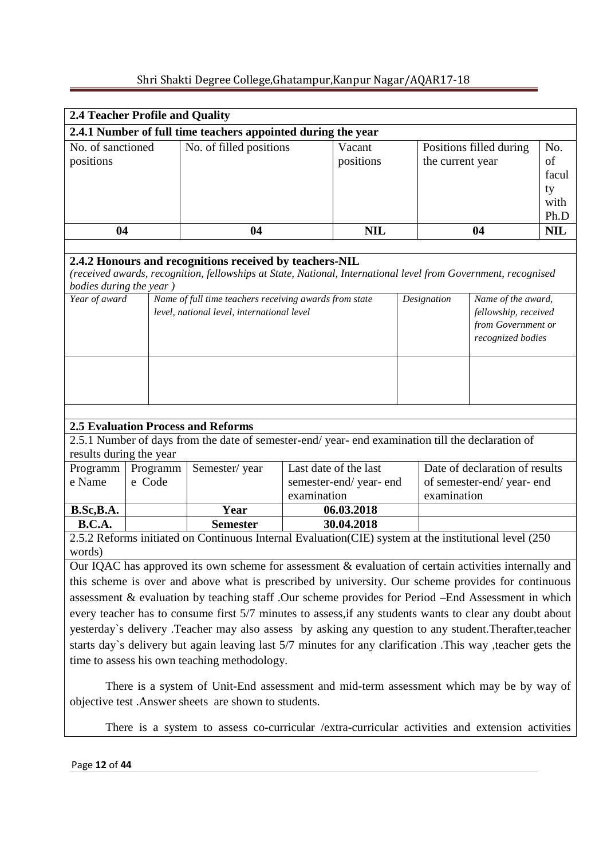| 2.4 Teacher Profile and Quality                                                                    |                                                                                                                                                                                                                     |                                                                                                                |             |                          |  |                  |                                            |                    |  |
|----------------------------------------------------------------------------------------------------|---------------------------------------------------------------------------------------------------------------------------------------------------------------------------------------------------------------------|----------------------------------------------------------------------------------------------------------------|-------------|--------------------------|--|------------------|--------------------------------------------|--------------------|--|
| 2.4.1 Number of full time teachers appointed during the year                                       |                                                                                                                                                                                                                     |                                                                                                                |             |                          |  |                  |                                            |                    |  |
| No. of sanctioned                                                                                  |                                                                                                                                                                                                                     | No. of filled positions<br>Vacant<br>Positions filled during                                                   |             |                          |  |                  |                                            | No.                |  |
| positions                                                                                          |                                                                                                                                                                                                                     |                                                                                                                |             | positions                |  | the current year |                                            | of                 |  |
|                                                                                                    |                                                                                                                                                                                                                     |                                                                                                                |             |                          |  |                  |                                            | facul              |  |
|                                                                                                    |                                                                                                                                                                                                                     |                                                                                                                |             |                          |  |                  |                                            | ty                 |  |
|                                                                                                    |                                                                                                                                                                                                                     |                                                                                                                |             |                          |  |                  |                                            | with               |  |
| 04                                                                                                 |                                                                                                                                                                                                                     | 04                                                                                                             |             | <b>NIL</b>               |  |                  | 04                                         | Ph.D<br><b>NIL</b> |  |
|                                                                                                    |                                                                                                                                                                                                                     |                                                                                                                |             |                          |  |                  |                                            |                    |  |
|                                                                                                    |                                                                                                                                                                                                                     | 2.4.2 Honours and recognitions received by teachers-NIL                                                        |             |                          |  |                  |                                            |                    |  |
|                                                                                                    |                                                                                                                                                                                                                     | (received awards, recognition, fellowships at State, National, International level from Government, recognised |             |                          |  |                  |                                            |                    |  |
| bodies during the year)                                                                            |                                                                                                                                                                                                                     |                                                                                                                |             |                          |  |                  |                                            |                    |  |
| Year of award                                                                                      |                                                                                                                                                                                                                     | Name of full time teachers receiving awards from state                                                         |             |                          |  | Designation      | Name of the award,                         |                    |  |
|                                                                                                    |                                                                                                                                                                                                                     | level, national level, international level                                                                     |             |                          |  |                  | fellowship, received<br>from Government or |                    |  |
|                                                                                                    |                                                                                                                                                                                                                     |                                                                                                                |             |                          |  |                  | recognized bodies                          |                    |  |
|                                                                                                    |                                                                                                                                                                                                                     |                                                                                                                |             |                          |  |                  |                                            |                    |  |
|                                                                                                    |                                                                                                                                                                                                                     |                                                                                                                |             |                          |  |                  |                                            |                    |  |
|                                                                                                    |                                                                                                                                                                                                                     |                                                                                                                |             |                          |  |                  |                                            |                    |  |
|                                                                                                    |                                                                                                                                                                                                                     |                                                                                                                |             |                          |  |                  |                                            |                    |  |
|                                                                                                    |                                                                                                                                                                                                                     |                                                                                                                |             |                          |  |                  |                                            |                    |  |
|                                                                                                    |                                                                                                                                                                                                                     | <b>2.5 Evaluation Process and Reforms</b>                                                                      |             |                          |  |                  |                                            |                    |  |
|                                                                                                    |                                                                                                                                                                                                                     | 2.5.1 Number of days from the date of semester-end/year-end examination till the declaration of                |             |                          |  |                  |                                            |                    |  |
| results during the year                                                                            |                                                                                                                                                                                                                     |                                                                                                                |             |                          |  |                  |                                            |                    |  |
| Programm   Programm                                                                                |                                                                                                                                                                                                                     | Semester/year                                                                                                  |             | Last date of the last    |  |                  | Date of declaration of results             |                    |  |
| e Name                                                                                             | e Code                                                                                                                                                                                                              |                                                                                                                |             | semester-end/year-end    |  |                  | of semester-end/year-end                   |                    |  |
|                                                                                                    |                                                                                                                                                                                                                     |                                                                                                                | examination |                          |  | examination      |                                            |                    |  |
| B.Sc, B.A.<br><b>B.C.A.</b>                                                                        |                                                                                                                                                                                                                     | Year<br><b>Semester</b>                                                                                        |             | 06.03.2018<br>30.04.2018 |  |                  |                                            |                    |  |
|                                                                                                    |                                                                                                                                                                                                                     | 2.5.2 Reforms initiated on Continuous Internal Evaluation(CIE) system at the institutional level (250          |             |                          |  |                  |                                            |                    |  |
| words)                                                                                             |                                                                                                                                                                                                                     |                                                                                                                |             |                          |  |                  |                                            |                    |  |
|                                                                                                    |                                                                                                                                                                                                                     | Our IQAC has approved its own scheme for assessment & evaluation of certain activities internally and          |             |                          |  |                  |                                            |                    |  |
| this scheme is over and above what is prescribed by university. Our scheme provides for continuous |                                                                                                                                                                                                                     |                                                                                                                |             |                          |  |                  |                                            |                    |  |
| assessment & evaluation by teaching staff .Our scheme provides for Period -End Assessment in which |                                                                                                                                                                                                                     |                                                                                                                |             |                          |  |                  |                                            |                    |  |
|                                                                                                    |                                                                                                                                                                                                                     | every teacher has to consume first 5/7 minutes to assess, if any students wants to clear any doubt about       |             |                          |  |                  |                                            |                    |  |
|                                                                                                    |                                                                                                                                                                                                                     |                                                                                                                |             |                          |  |                  |                                            |                    |  |
|                                                                                                    | yesterday's delivery .Teacher may also assess by asking any question to any student.Therafter,teacher<br>starts day's delivery but again leaving last 5/7 minutes for any clarification .This way ,teacher gets the |                                                                                                                |             |                          |  |                  |                                            |                    |  |

time to assess his own teaching methodology.

 There is a system of Unit-End assessment and mid-term assessment which may be by way of objective test .Answer sheets are shown to students.

There is a system to assess co-curricular /extra-curricular activities and extension activities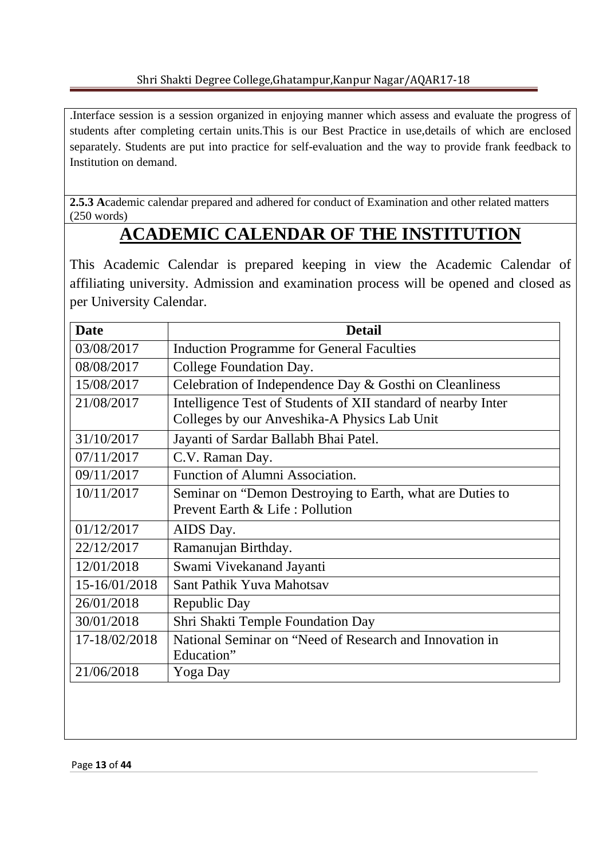.Interface session is a session organized in enjoying manner which assess and evaluate the progress of students after completing certain units.This is our Best Practice in use,details of which are enclosed separately. Students are put into practice for self-evaluation and the way to provide frank feedback to Institution on demand.

**2.5.3 A**cademic calendar prepared and adhered for conduct of Examination and other related matters (250 words)

# **ACADEMIC CALENDAR OF THE INSTITUTION**

This Academic Calendar is prepared keeping in view the Academic Calendar of affiliating university. Admission and examination process will be opened and closed as per University Calendar.

| <b>Date</b>   | <b>Detail</b>                                                 |
|---------------|---------------------------------------------------------------|
| 03/08/2017    | <b>Induction Programme for General Faculties</b>              |
| 08/08/2017    | College Foundation Day.                                       |
| 15/08/2017    | Celebration of Independence Day & Gosthi on Cleanliness       |
| 21/08/2017    | Intelligence Test of Students of XII standard of nearby Inter |
|               | Colleges by our Anveshika-A Physics Lab Unit                  |
| 31/10/2017    | Jayanti of Sardar Ballabh Bhai Patel.                         |
| 07/11/2017    | C.V. Raman Day.                                               |
| 09/11/2017    | Function of Alumni Association.                               |
| 10/11/2017    | Seminar on "Demon Destroying to Earth, what are Duties to     |
|               | Prevent Earth & Life: Pollution                               |
| 01/12/2017    | AIDS Day.                                                     |
| 22/12/2017    | Ramanujan Birthday.                                           |
| 12/01/2018    | Swami Vivekanand Jayanti                                      |
| 15-16/01/2018 | Sant Pathik Yuva Mahotsav                                     |
| 26/01/2018    | Republic Day                                                  |
| 30/01/2018    | Shri Shakti Temple Foundation Day                             |
| 17-18/02/2018 | National Seminar on "Need of Research and Innovation in       |
|               | Education"                                                    |
| 21/06/2018    | Yoga Day                                                      |
|               |                                                               |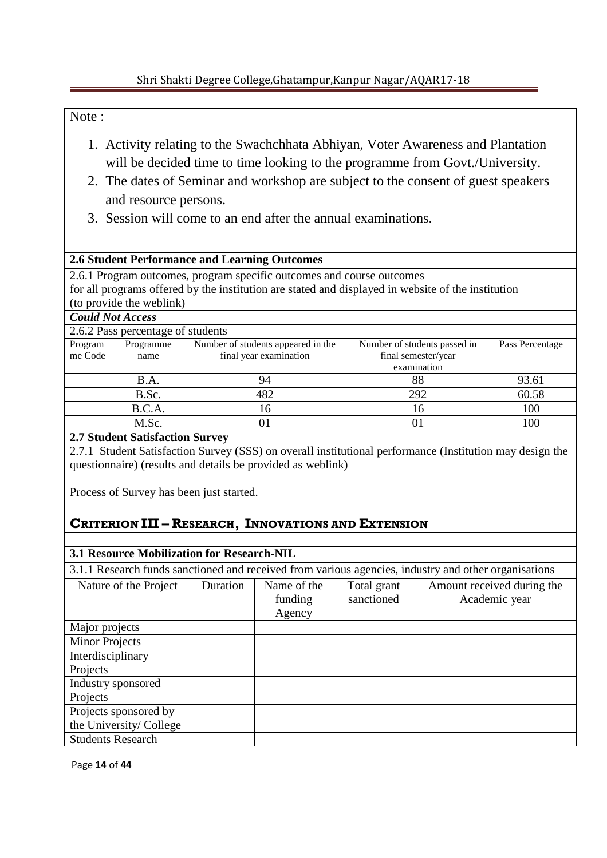## Note :

- 1. Activity relating to the Swachchhata Abhiyan, Voter Awareness and Plantation will be decided time to time looking to the programme from Govt./University.
- 2. The dates of Seminar and workshop are subject to the consent of guest speakers and resource persons.
- 3. Session will come to an end after the annual examinations.

### **2.6 Student Performance and Learning Outcomes**

2.6.1 Program outcomes, program specific outcomes and course outcomes for all programs offered by the institution are stated and displayed in website of the institution (to provide the weblink)

#### *Could Not Access*

|                    | 2.6.2 Pass percentage of students |                                                              |                                                                    |                 |
|--------------------|-----------------------------------|--------------------------------------------------------------|--------------------------------------------------------------------|-----------------|
| Program<br>me Code | Programme<br>name                 | Number of students appeared in the<br>final year examination | Number of students passed in<br>final semester/year<br>examination | Pass Percentage |
|                    | B.A.                              | 94                                                           | 88                                                                 | 93.61           |
|                    | B.Sc.                             | 482                                                          | 292                                                                | 60.58           |
|                    | B.C.A.                            | 16                                                           | 16                                                                 | 100             |
|                    | M.Sc.                             |                                                              |                                                                    | 100             |

#### **2.7 Student Satisfaction Survey**

2.7.1 Student Satisfaction Survey (SSS) on overall institutional performance (Institution may design the questionnaire) (results and details be provided as weblink)

Process of Survey has been just started.

## **CRITERION III – RESEARCH, INNOVATIONS AND EXTENSION**

## **3.1 Resource Mobilization for Research-NIL**

3.1.1 Research funds sanctioned and received from various agencies, industry and other organisations

| Nature of the Project    | Duration | Name of the<br>funding | Total grant<br>sanctioned | Amount received during the<br>Academic year |
|--------------------------|----------|------------------------|---------------------------|---------------------------------------------|
|                          |          | Agency                 |                           |                                             |
| Major projects           |          |                        |                           |                                             |
| <b>Minor Projects</b>    |          |                        |                           |                                             |
| Interdisciplinary        |          |                        |                           |                                             |
| Projects                 |          |                        |                           |                                             |
| Industry sponsored       |          |                        |                           |                                             |
| Projects                 |          |                        |                           |                                             |
| Projects sponsored by    |          |                        |                           |                                             |
| the University/College   |          |                        |                           |                                             |
| <b>Students Research</b> |          |                        |                           |                                             |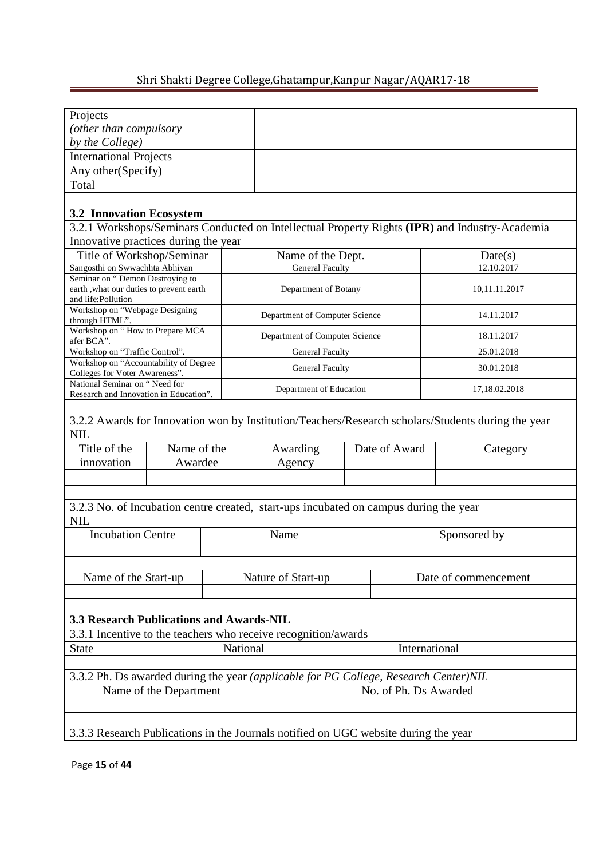| Projects                                                                    |                                                 |          |                                                                                       |               |               |                                                                                                    |  |  |  |
|-----------------------------------------------------------------------------|-------------------------------------------------|----------|---------------------------------------------------------------------------------------|---------------|---------------|----------------------------------------------------------------------------------------------------|--|--|--|
| (other than compulsory                                                      |                                                 |          |                                                                                       |               |               |                                                                                                    |  |  |  |
| by the College)                                                             |                                                 |          |                                                                                       |               |               |                                                                                                    |  |  |  |
| <b>International Projects</b>                                               |                                                 |          |                                                                                       |               |               |                                                                                                    |  |  |  |
| Any other (Specify)                                                         |                                                 |          |                                                                                       |               |               |                                                                                                    |  |  |  |
| Total                                                                       |                                                 |          |                                                                                       |               |               |                                                                                                    |  |  |  |
|                                                                             |                                                 |          |                                                                                       |               |               |                                                                                                    |  |  |  |
| <b>3.2 Innovation Ecosystem</b>                                             |                                                 |          |                                                                                       |               |               |                                                                                                    |  |  |  |
|                                                                             |                                                 |          |                                                                                       |               |               | 3.2.1 Workshops/Seminars Conducted on Intellectual Property Rights (IPR) and Industry-Academia     |  |  |  |
|                                                                             |                                                 |          |                                                                                       |               |               |                                                                                                    |  |  |  |
| Innovative practices during the year                                        |                                                 |          |                                                                                       |               |               |                                                                                                    |  |  |  |
| Title of Workshop/Seminar                                                   |                                                 |          | Name of the Dept.                                                                     |               |               | Date(s)                                                                                            |  |  |  |
| Sangosthi on Swwachhta Abhiyan                                              |                                                 |          | <b>General Faculty</b>                                                                |               |               | 12.10.2017                                                                                         |  |  |  |
| Seminar on "Demon Destroying to<br>earth , what our duties to prevent earth |                                                 |          | Department of Botany                                                                  |               |               | 10,11.11.2017                                                                                      |  |  |  |
| and life: Pollution                                                         |                                                 |          |                                                                                       |               |               |                                                                                                    |  |  |  |
| Workshop on "Webpage Designing                                              |                                                 |          | Department of Computer Science                                                        |               |               | 14.11.2017                                                                                         |  |  |  |
| through HTML".                                                              |                                                 |          |                                                                                       |               |               |                                                                                                    |  |  |  |
| Workshop on "How to Prepare MCA<br>afer BCA".                               |                                                 |          | Department of Computer Science                                                        |               |               | 18.11.2017                                                                                         |  |  |  |
| Workshop on "Traffic Control".                                              |                                                 |          | <b>General Faculty</b>                                                                |               |               | 25.01.2018                                                                                         |  |  |  |
| Workshop on "Accountability of Degree<br>Colleges for Voter Awareness".     |                                                 |          | <b>General Faculty</b>                                                                |               |               | 30.01.2018                                                                                         |  |  |  |
| National Seminar on "Need for                                               |                                                 |          |                                                                                       |               |               |                                                                                                    |  |  |  |
| Research and Innovation in Education".                                      |                                                 |          | Department of Education                                                               | 17,18.02.2018 |               |                                                                                                    |  |  |  |
|                                                                             |                                                 |          |                                                                                       |               |               |                                                                                                    |  |  |  |
|                                                                             |                                                 |          |                                                                                       |               |               | 3.2.2 Awards for Innovation won by Institution/Teachers/Research scholars/Students during the year |  |  |  |
| <b>NIL</b>                                                                  |                                                 |          |                                                                                       |               |               |                                                                                                    |  |  |  |
| Title of the                                                                | Name of the                                     |          | Awarding                                                                              |               | Date of Award | Category                                                                                           |  |  |  |
| innovation                                                                  | Awardee                                         |          | Agency                                                                                |               |               |                                                                                                    |  |  |  |
|                                                                             |                                                 |          |                                                                                       |               |               |                                                                                                    |  |  |  |
|                                                                             |                                                 |          |                                                                                       |               |               |                                                                                                    |  |  |  |
| <b>NIL</b>                                                                  |                                                 |          | 3.2.3 No. of Incubation centre created, start-ups incubated on campus during the year |               |               |                                                                                                    |  |  |  |
|                                                                             |                                                 |          |                                                                                       |               |               |                                                                                                    |  |  |  |
| <b>Incubation Centre</b>                                                    |                                                 |          | Name                                                                                  |               |               | Sponsored by                                                                                       |  |  |  |
|                                                                             |                                                 |          |                                                                                       |               |               |                                                                                                    |  |  |  |
|                                                                             |                                                 |          |                                                                                       |               |               |                                                                                                    |  |  |  |
| Name of the Start-up                                                        |                                                 |          | Nature of Start-up                                                                    |               |               | Date of commencement                                                                               |  |  |  |
|                                                                             |                                                 |          |                                                                                       |               |               |                                                                                                    |  |  |  |
|                                                                             |                                                 |          |                                                                                       |               |               |                                                                                                    |  |  |  |
| 3.3 Research Publications and Awards-NIL                                    |                                                 |          |                                                                                       |               |               |                                                                                                    |  |  |  |
|                                                                             |                                                 |          | 3.3.1 Incentive to the teachers who receive recognition/awards                        |               |               |                                                                                                    |  |  |  |
| <b>State</b>                                                                |                                                 | National |                                                                                       |               |               | International                                                                                      |  |  |  |
|                                                                             |                                                 |          |                                                                                       |               |               |                                                                                                    |  |  |  |
|                                                                             |                                                 |          | 3.3.2 Ph. Ds awarded during the year (applicable for PG College, Research Center)NIL  |               |               |                                                                                                    |  |  |  |
|                                                                             |                                                 |          |                                                                                       |               |               |                                                                                                    |  |  |  |
|                                                                             | No. of Ph. Ds Awarded<br>Name of the Department |          |                                                                                       |               |               |                                                                                                    |  |  |  |
|                                                                             |                                                 |          |                                                                                       |               |               |                                                                                                    |  |  |  |
|                                                                             |                                                 |          |                                                                                       |               |               |                                                                                                    |  |  |  |
|                                                                             |                                                 |          | 3.3.3 Research Publications in the Journals notified on UGC website during the year   |               |               |                                                                                                    |  |  |  |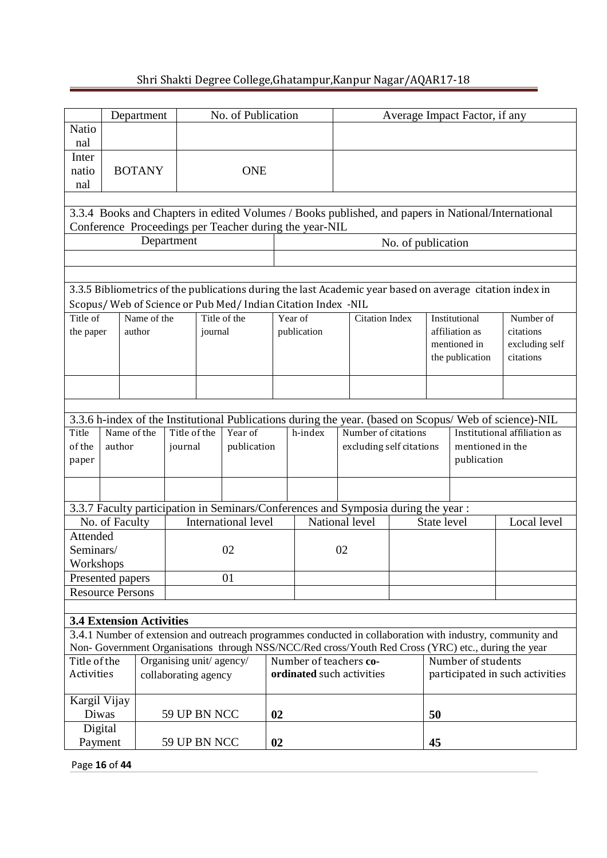|                                                                                                                                                                                                                                              |            | Department                      |                         |            | No. of Publication         |    |                                                                                   | Average Impact Factor, if any |                                                 |                    |             |                    |                                                                                                          |
|----------------------------------------------------------------------------------------------------------------------------------------------------------------------------------------------------------------------------------------------|------------|---------------------------------|-------------------------|------------|----------------------------|----|-----------------------------------------------------------------------------------|-------------------------------|-------------------------------------------------|--------------------|-------------|--------------------|----------------------------------------------------------------------------------------------------------|
| <b>Natio</b>                                                                                                                                                                                                                                 |            |                                 |                         |            |                            |    |                                                                                   |                               |                                                 |                    |             |                    |                                                                                                          |
| nal<br>Inter                                                                                                                                                                                                                                 |            |                                 |                         |            |                            |    |                                                                                   |                               |                                                 |                    |             |                    |                                                                                                          |
| natio                                                                                                                                                                                                                                        |            | <b>BOTANY</b>                   |                         | <b>ONE</b> |                            |    |                                                                                   |                               |                                                 |                    |             |                    |                                                                                                          |
| nal                                                                                                                                                                                                                                          |            |                                 |                         |            |                            |    |                                                                                   |                               |                                                 |                    |             |                    |                                                                                                          |
|                                                                                                                                                                                                                                              |            |                                 |                         |            |                            |    |                                                                                   |                               |                                                 |                    |             |                    | 3.3.4 Books and Chapters in edited Volumes / Books published, and papers in National/International       |
|                                                                                                                                                                                                                                              |            |                                 |                         |            |                            |    | Conference Proceedings per Teacher during the year-NIL                            |                               |                                                 |                    |             |                    |                                                                                                          |
|                                                                                                                                                                                                                                              | Department |                                 |                         |            |                            |    |                                                                                   |                               |                                                 | No. of publication |             |                    |                                                                                                          |
|                                                                                                                                                                                                                                              |            |                                 |                         |            |                            |    |                                                                                   |                               |                                                 |                    |             |                    |                                                                                                          |
|                                                                                                                                                                                                                                              |            |                                 |                         |            |                            |    |                                                                                   |                               |                                                 |                    |             |                    |                                                                                                          |
|                                                                                                                                                                                                                                              |            |                                 |                         |            |                            |    |                                                                                   |                               |                                                 |                    |             |                    | 3.3.5 Bibliometrics of the publications during the last Academic year based on average citation index in |
| Scopus/Web of Science or Pub Med/Indian Citation Index -NIL<br>Title of<br>Name of the<br>Title of the<br>Year of<br><b>Citation Index</b><br>Institutional<br>Number of                                                                     |            |                                 |                         |            |                            |    |                                                                                   |                               |                                                 |                    |             |                    |                                                                                                          |
| the paper                                                                                                                                                                                                                                    |            | author                          | journal<br>publication  |            |                            |    |                                                                                   |                               |                                                 |                    |             | affiliation as     | citations                                                                                                |
|                                                                                                                                                                                                                                              |            |                                 |                         |            |                            |    |                                                                                   |                               |                                                 |                    |             | mentioned in       | excluding self                                                                                           |
|                                                                                                                                                                                                                                              |            |                                 |                         |            |                            |    |                                                                                   |                               |                                                 |                    |             | the publication    | citations                                                                                                |
|                                                                                                                                                                                                                                              |            |                                 |                         |            |                            |    |                                                                                   |                               |                                                 |                    |             |                    |                                                                                                          |
|                                                                                                                                                                                                                                              |            |                                 |                         |            |                            |    |                                                                                   |                               |                                                 |                    |             |                    |                                                                                                          |
|                                                                                                                                                                                                                                              |            |                                 |                         |            |                            |    |                                                                                   |                               |                                                 |                    |             |                    | 3.3.6 h-index of the Institutional Publications during the year. (based on Scopus/ Web of science)-NIL   |
| Title<br>of the                                                                                                                                                                                                                              | author     | Name of the                     | Title of the<br>journal |            | Year of<br>publication     |    | h-index                                                                           |                               | Number of citations<br>excluding self citations |                    |             | mentioned in the   | Institutional affiliation as                                                                             |
| paper                                                                                                                                                                                                                                        |            |                                 |                         |            |                            |    |                                                                                   |                               |                                                 |                    |             | publication        |                                                                                                          |
|                                                                                                                                                                                                                                              |            |                                 |                         |            |                            |    |                                                                                   |                               |                                                 |                    |             |                    |                                                                                                          |
|                                                                                                                                                                                                                                              |            |                                 |                         |            |                            |    |                                                                                   |                               |                                                 |                    |             |                    |                                                                                                          |
|                                                                                                                                                                                                                                              |            |                                 |                         |            |                            |    | 3.3.7 Faculty participation in Seminars/Conferences and Symposia during the year: |                               |                                                 |                    |             |                    |                                                                                                          |
| Attended                                                                                                                                                                                                                                     |            | No. of Faculty                  |                         |            | <b>International level</b> |    | National level                                                                    |                               |                                                 |                    | State level |                    | Local level                                                                                              |
| Seminars/                                                                                                                                                                                                                                    |            |                                 |                         |            | 02                         |    |                                                                                   | 02                            |                                                 |                    |             |                    |                                                                                                          |
| Workshops                                                                                                                                                                                                                                    |            |                                 |                         |            |                            |    |                                                                                   |                               |                                                 |                    |             |                    |                                                                                                          |
| Presented papers                                                                                                                                                                                                                             |            |                                 |                         |            | 01                         |    |                                                                                   |                               |                                                 |                    |             |                    |                                                                                                          |
|                                                                                                                                                                                                                                              |            | <b>Resource Persons</b>         |                         |            |                            |    |                                                                                   |                               |                                                 |                    |             |                    |                                                                                                          |
|                                                                                                                                                                                                                                              |            | <b>3.4 Extension Activities</b> |                         |            |                            |    |                                                                                   |                               |                                                 |                    |             |                    |                                                                                                          |
|                                                                                                                                                                                                                                              |            |                                 |                         |            |                            |    |                                                                                   |                               |                                                 |                    |             |                    |                                                                                                          |
| 3.4.1 Number of extension and outreach programmes conducted in collaboration with industry, community and<br>Non- Government Organisations through NSS/NCC/Red cross/Youth Red Cross (YRC) etc., during the year<br>Organising unit/ agency/ |            |                                 |                         |            |                            |    |                                                                                   |                               |                                                 |                    |             |                    |                                                                                                          |
| Title of the                                                                                                                                                                                                                                 |            |                                 |                         |            |                            |    | Number of teachers co-                                                            |                               |                                                 |                    |             | Number of students | participated in such activities                                                                          |
| ordinated such activities<br>Activities<br>collaborating agency                                                                                                                                                                              |            |                                 |                         |            |                            |    |                                                                                   |                               |                                                 |                    |             |                    |                                                                                                          |
| Kargil Vijay                                                                                                                                                                                                                                 |            |                                 |                         |            |                            |    |                                                                                   |                               |                                                 |                    |             |                    |                                                                                                          |
| Diwas                                                                                                                                                                                                                                        |            |                                 | 59 UP BN NCC<br>02      |            |                            |    |                                                                                   |                               |                                                 |                    | 50          |                    |                                                                                                          |
| Digital<br>Payment                                                                                                                                                                                                                           |            |                                 | 59 UP BN NCC            |            |                            | 02 |                                                                                   |                               |                                                 |                    | 45          |                    |                                                                                                          |
|                                                                                                                                                                                                                                              |            |                                 |                         |            |                            |    |                                                                                   |                               |                                                 |                    |             |                    |                                                                                                          |

Page **16** of **44**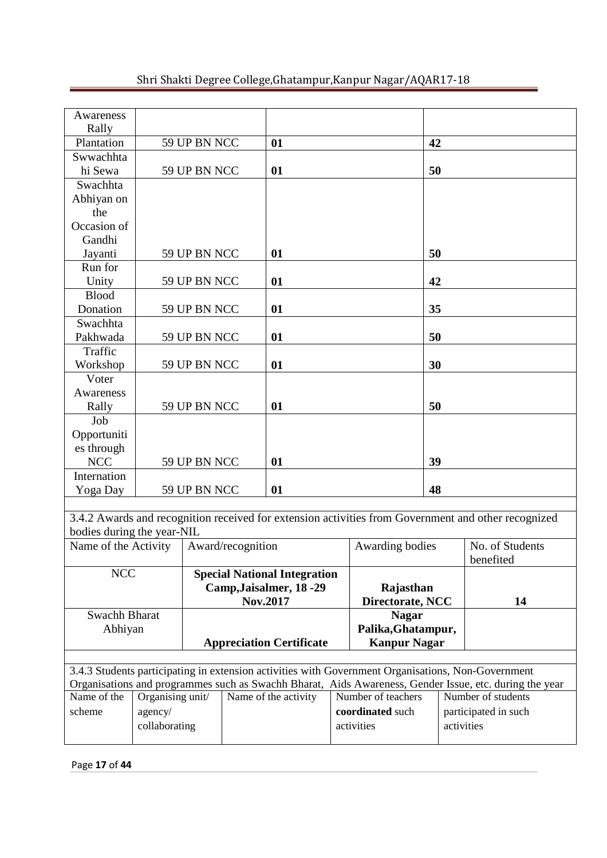| Shri Shakti Degree College, Ghatampur, Kanpur Nagar/AQAR17-18 |  |  |
|---------------------------------------------------------------|--|--|
|                                                               |  |  |

| Awareness                                                                                              |                                 |              |                   |                                     |  |                     |                      |                                                                                                     |  |
|--------------------------------------------------------------------------------------------------------|---------------------------------|--------------|-------------------|-------------------------------------|--|---------------------|----------------------|-----------------------------------------------------------------------------------------------------|--|
| Rally                                                                                                  |                                 |              |                   |                                     |  |                     |                      |                                                                                                     |  |
| Plantation                                                                                             |                                 | 59 UP BN NCC |                   | 01                                  |  |                     | 42                   |                                                                                                     |  |
| Swwachhta                                                                                              |                                 |              |                   |                                     |  |                     |                      |                                                                                                     |  |
| hi Sewa                                                                                                |                                 | 59 UP BN NCC |                   | 01                                  |  |                     | 50                   |                                                                                                     |  |
| Swachhta                                                                                               |                                 |              |                   |                                     |  |                     |                      |                                                                                                     |  |
| Abhiyan on                                                                                             |                                 |              |                   |                                     |  |                     |                      |                                                                                                     |  |
| the                                                                                                    |                                 |              |                   |                                     |  |                     |                      |                                                                                                     |  |
| Occasion of                                                                                            |                                 |              |                   |                                     |  |                     |                      |                                                                                                     |  |
| Gandhi                                                                                                 |                                 |              |                   |                                     |  |                     |                      |                                                                                                     |  |
| Jayanti                                                                                                |                                 | 59 UP BN NCC |                   | 01                                  |  |                     | 50                   |                                                                                                     |  |
| Run for                                                                                                |                                 |              |                   |                                     |  |                     |                      |                                                                                                     |  |
| Unity                                                                                                  |                                 | 59 UP BN NCC |                   | 01                                  |  |                     | 42                   |                                                                                                     |  |
| <b>Blood</b>                                                                                           |                                 |              |                   |                                     |  |                     |                      |                                                                                                     |  |
| Donation                                                                                               |                                 | 59 UP BN NCC | 01                |                                     |  | 35                  |                      |                                                                                                     |  |
| Swachhta                                                                                               |                                 |              |                   |                                     |  |                     |                      |                                                                                                     |  |
| Pakhwada                                                                                               |                                 | 59 UP BN NCC | 01                |                                     |  | 50                  |                      |                                                                                                     |  |
| Traffic                                                                                                |                                 |              |                   |                                     |  |                     |                      |                                                                                                     |  |
| Workshop                                                                                               |                                 | 59 UP BN NCC |                   | 01                                  |  |                     | 30                   |                                                                                                     |  |
| Voter                                                                                                  |                                 |              |                   |                                     |  |                     |                      |                                                                                                     |  |
| Awareness                                                                                              |                                 |              |                   |                                     |  |                     |                      |                                                                                                     |  |
| Rally                                                                                                  |                                 | 59 UP BN NCC |                   | 01                                  |  |                     | 50                   |                                                                                                     |  |
| Job                                                                                                    |                                 |              |                   |                                     |  |                     |                      |                                                                                                     |  |
| Opportuniti                                                                                            |                                 |              |                   |                                     |  |                     |                      |                                                                                                     |  |
| es through                                                                                             |                                 |              |                   |                                     |  |                     |                      |                                                                                                     |  |
| <b>NCC</b>                                                                                             |                                 | 59 UP BN NCC |                   | 01                                  |  |                     | 39                   |                                                                                                     |  |
| Internation                                                                                            |                                 |              |                   |                                     |  |                     |                      |                                                                                                     |  |
| Yoga Day                                                                                               |                                 | 59 UP BN NCC |                   | 01                                  |  |                     | 48                   |                                                                                                     |  |
|                                                                                                        |                                 |              |                   |                                     |  |                     |                      |                                                                                                     |  |
| bodies during the year-NIL                                                                             |                                 |              |                   |                                     |  |                     |                      | 3.4.2 Awards and recognition received for extension activities from Government and other recognized |  |
| Name of the Activity                                                                                   |                                 |              | Award/recognition |                                     |  | Awarding bodies     |                      | No. of Students                                                                                     |  |
|                                                                                                        |                                 |              |                   |                                     |  |                     |                      | benefited                                                                                           |  |
| <b>NCC</b>                                                                                             |                                 |              |                   | <b>Special National Integration</b> |  |                     |                      |                                                                                                     |  |
|                                                                                                        |                                 |              |                   | Camp, Jaisalmer, 18 -29             |  | Rajasthan           |                      |                                                                                                     |  |
|                                                                                                        |                                 |              |                   | Nov.2017                            |  | Directorate, NCC    |                      | 14                                                                                                  |  |
| Swachh Bharat                                                                                          |                                 |              |                   |                                     |  | <b>Nagar</b>        |                      |                                                                                                     |  |
| Abhiyan                                                                                                |                                 |              |                   |                                     |  | Palika, Ghatampur,  |                      |                                                                                                     |  |
|                                                                                                        | <b>Appreciation Certificate</b> |              |                   |                                     |  | <b>Kanpur Nagar</b> |                      |                                                                                                     |  |
|                                                                                                        |                                 |              |                   |                                     |  |                     |                      |                                                                                                     |  |
| 3.4.3 Students participating in extension activities with Government Organisations, Non-Government     |                                 |              |                   |                                     |  |                     |                      |                                                                                                     |  |
| Organisations and programmes such as Swachh Bharat, Aids Awareness, Gender Issue, etc. during the year |                                 |              |                   |                                     |  |                     |                      |                                                                                                     |  |
| Name of the                                                                                            | Organising unit/                |              |                   | Name of the activity                |  | Number of teachers  | Number of students   |                                                                                                     |  |
| scheme                                                                                                 | agency/                         |              |                   |                                     |  | coordinated such    | participated in such |                                                                                                     |  |
|                                                                                                        | collaborating                   |              |                   |                                     |  | activities          |                      | activities                                                                                          |  |
|                                                                                                        |                                 |              |                   |                                     |  |                     |                      |                                                                                                     |  |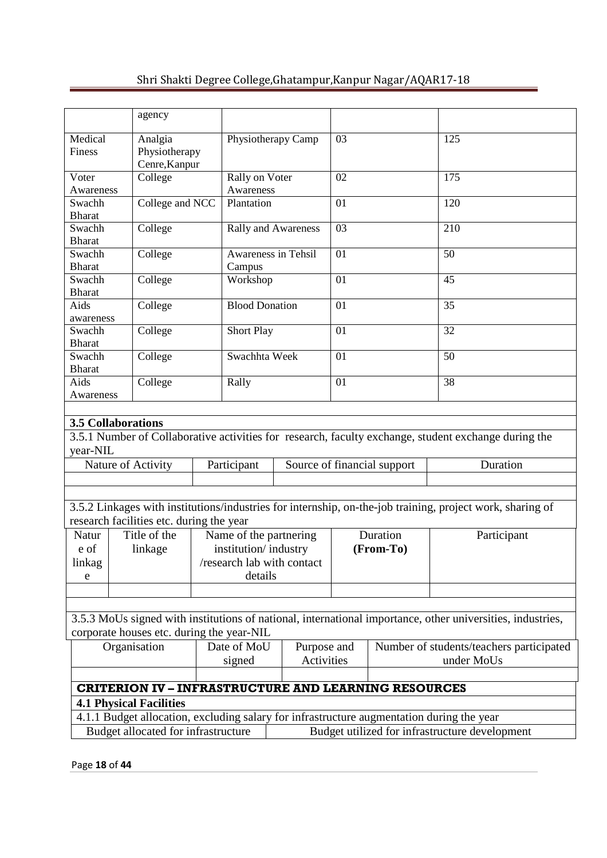|                                                             | agency                                                                                    |  |                        |                            |           |                             |                                                                                                            |  |  |
|-------------------------------------------------------------|-------------------------------------------------------------------------------------------|--|------------------------|----------------------------|-----------|-----------------------------|------------------------------------------------------------------------------------------------------------|--|--|
|                                                             |                                                                                           |  |                        |                            |           |                             |                                                                                                            |  |  |
| Medical                                                     | Analgia                                                                                   |  |                        | Physiotherapy Camp         | 03        |                             | 125                                                                                                        |  |  |
| Finess                                                      | Physiotherapy                                                                             |  |                        |                            |           |                             |                                                                                                            |  |  |
|                                                             | Cenre, Kanpur                                                                             |  |                        |                            |           |                             |                                                                                                            |  |  |
| Voter                                                       | College                                                                                   |  | Rally on Voter         |                            | 02        |                             | 175                                                                                                        |  |  |
| Awareness                                                   |                                                                                           |  | Awareness              |                            | 01        |                             | 120                                                                                                        |  |  |
| Swachh<br><b>Bharat</b>                                     | College and NCC                                                                           |  | Plantation             |                            |           |                             |                                                                                                            |  |  |
| Swachh                                                      | College                                                                                   |  |                        | Rally and Awareness        | 03        |                             | 210                                                                                                        |  |  |
| <b>Bharat</b>                                               |                                                                                           |  |                        |                            |           |                             |                                                                                                            |  |  |
| Swachh                                                      | College                                                                                   |  | Awareness in Tehsil    |                            | 01        |                             | 50                                                                                                         |  |  |
| <b>Bharat</b>                                               |                                                                                           |  | Campus                 |                            |           |                             |                                                                                                            |  |  |
| Swachh                                                      | College<br>Workshop                                                                       |  |                        |                            | 01        |                             | 45                                                                                                         |  |  |
| <b>Bharat</b>                                               |                                                                                           |  |                        |                            |           |                             |                                                                                                            |  |  |
| Aids                                                        | College                                                                                   |  | <b>Blood Donation</b>  |                            | 01        |                             | 35                                                                                                         |  |  |
| awareness                                                   |                                                                                           |  |                        |                            |           |                             |                                                                                                            |  |  |
| Swachh                                                      | College                                                                                   |  | <b>Short Play</b>      |                            | 01        |                             | 32                                                                                                         |  |  |
| <b>Bharat</b>                                               | College<br>Swachh                                                                         |  |                        |                            | 01        |                             | 50                                                                                                         |  |  |
| <b>Bharat</b>                                               |                                                                                           |  | Swachhta Week          |                            |           |                             |                                                                                                            |  |  |
| Aids<br>College                                             |                                                                                           |  | Rally                  |                            | 01        |                             | 38                                                                                                         |  |  |
| Awareness                                                   |                                                                                           |  |                        |                            |           |                             |                                                                                                            |  |  |
|                                                             |                                                                                           |  |                        |                            |           |                             |                                                                                                            |  |  |
|                                                             | <b>3.5 Collaborations</b>                                                                 |  |                        |                            |           |                             |                                                                                                            |  |  |
|                                                             |                                                                                           |  |                        |                            |           |                             | 3.5.1 Number of Collaborative activities for research, faculty exchange, student exchange during the       |  |  |
| year-NIL                                                    |                                                                                           |  |                        |                            |           |                             |                                                                                                            |  |  |
|                                                             | Nature of Activity                                                                        |  | Participant            |                            |           | Source of financial support | Duration                                                                                                   |  |  |
|                                                             |                                                                                           |  |                        |                            |           |                             |                                                                                                            |  |  |
|                                                             |                                                                                           |  |                        |                            |           |                             |                                                                                                            |  |  |
|                                                             |                                                                                           |  |                        |                            |           |                             | 3.5.2 Linkages with institutions/industries for internship, on-the-job training, project work, sharing of  |  |  |
|                                                             | research facilities etc. during the year                                                  |  |                        |                            |           |                             |                                                                                                            |  |  |
| Natur                                                       | Title of the                                                                              |  | Name of the partnering |                            |           | Duration                    | Participant                                                                                                |  |  |
| e of                                                        | linkage                                                                                   |  | institution/industry   |                            | (From-To) |                             |                                                                                                            |  |  |
| linkag                                                      |                                                                                           |  |                        | /research lab with contact |           |                             |                                                                                                            |  |  |
| e                                                           |                                                                                           |  | details                |                            |           |                             |                                                                                                            |  |  |
|                                                             |                                                                                           |  |                        |                            |           |                             |                                                                                                            |  |  |
|                                                             |                                                                                           |  |                        |                            |           |                             |                                                                                                            |  |  |
|                                                             |                                                                                           |  |                        |                            |           |                             | 3.5.3 MoUs signed with institutions of national, international importance, other universities, industries, |  |  |
|                                                             | corporate houses etc. during the year-NIL                                                 |  |                        |                            |           |                             |                                                                                                            |  |  |
|                                                             | Organisation                                                                              |  | Date of MoU            | Purpose and                |           |                             | Number of students/teachers participated                                                                   |  |  |
|                                                             |                                                                                           |  | signed                 | <b>Activities</b>          |           |                             | under MoUs                                                                                                 |  |  |
|                                                             |                                                                                           |  |                        |                            |           |                             |                                                                                                            |  |  |
| <b>CRITERION IV – INFRASTRUCTURE AND LEARNING RESOURCES</b> |                                                                                           |  |                        |                            |           |                             |                                                                                                            |  |  |
|                                                             | <b>4.1 Physical Facilities</b>                                                            |  |                        |                            |           |                             |                                                                                                            |  |  |
|                                                             | 4.1.1 Budget allocation, excluding salary for infrastructure augmentation during the year |  |                        |                            |           |                             |                                                                                                            |  |  |
|                                                             | Budget allocated for infrastructure                                                       |  |                        |                            |           |                             | Budget utilized for infrastructure development                                                             |  |  |
|                                                             |                                                                                           |  |                        |                            |           |                             |                                                                                                            |  |  |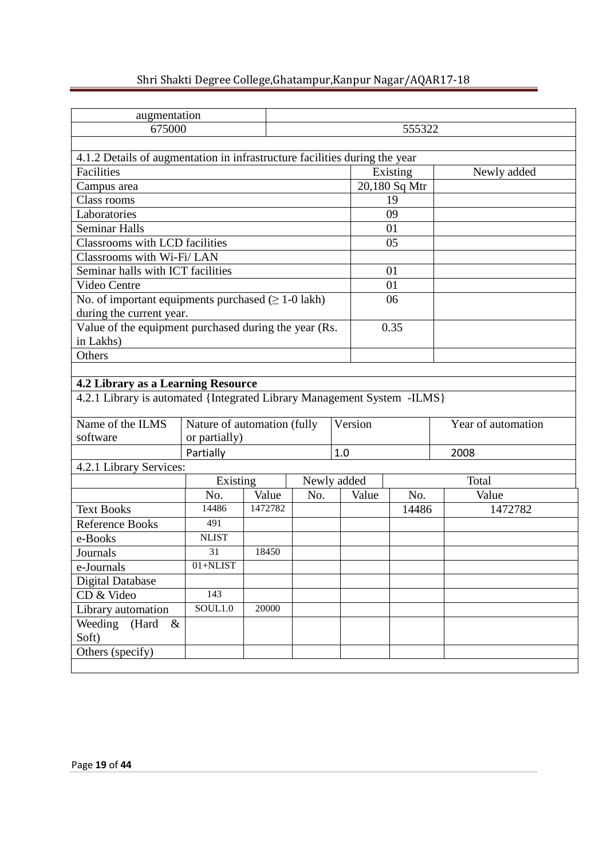| augmentation                                                               |                             |         |             |     |         |               |      |                    |  |  |
|----------------------------------------------------------------------------|-----------------------------|---------|-------------|-----|---------|---------------|------|--------------------|--|--|
| 675000                                                                     |                             |         |             |     |         | 555322        |      |                    |  |  |
|                                                                            |                             |         |             |     |         |               |      |                    |  |  |
| 4.1.2 Details of augmentation in infrastructure facilities during the year |                             |         |             |     |         |               |      |                    |  |  |
| Facilities                                                                 |                             |         |             |     |         | Existing      |      | Newly added        |  |  |
| Campus area                                                                |                             |         |             |     |         | 20,180 Sq Mtr |      |                    |  |  |
| Class rooms                                                                |                             |         |             |     |         | 19            |      |                    |  |  |
| Laboratories                                                               |                             |         |             |     |         | 09            |      |                    |  |  |
| <b>Seminar Halls</b>                                                       |                             |         |             |     |         | 01            |      |                    |  |  |
| Classrooms with LCD facilities                                             |                             |         |             |     |         | 05            |      |                    |  |  |
| Classrooms with Wi-Fi/LAN                                                  |                             |         |             |     |         |               |      |                    |  |  |
| Seminar halls with ICT facilities<br>01                                    |                             |         |             |     |         |               |      |                    |  |  |
| Video Centre                                                               |                             |         |             |     |         | 01            |      |                    |  |  |
| No. of important equipments purchased $( \geq 1-0$ lakh)                   |                             |         |             |     |         | 06            |      |                    |  |  |
| during the current year.                                                   |                             |         |             |     |         |               |      |                    |  |  |
| Value of the equipment purchased during the year (Rs.                      |                             |         |             |     |         | 0.35          |      |                    |  |  |
| in Lakhs)                                                                  |                             |         |             |     |         |               |      |                    |  |  |
| Others                                                                     |                             |         |             |     |         |               |      |                    |  |  |
|                                                                            |                             |         |             |     |         |               |      |                    |  |  |
| 4.2 Library as a Learning Resource                                         |                             |         |             |     |         |               |      |                    |  |  |
| 4.2.1 Library is automated {Integrated Library Management System -ILMS}    |                             |         |             |     |         |               |      |                    |  |  |
| Name of the ILMS                                                           | Nature of automation (fully |         |             |     | Version |               |      | Year of automation |  |  |
| software                                                                   | or partially)               |         |             |     |         |               |      |                    |  |  |
|                                                                            | Partially                   |         |             | 1.0 |         |               | 2008 |                    |  |  |
| 4.2.1 Library Services:                                                    |                             |         |             |     |         |               |      |                    |  |  |
|                                                                            | Existing                    |         | Newly added |     |         |               |      | Total              |  |  |
|                                                                            | No.                         | Value   | No.         |     | Value   | No.           |      | Value              |  |  |
| <b>Text Books</b>                                                          | 14486                       | 1472782 |             |     |         | 14486         |      | 1472782            |  |  |
| <b>Reference Books</b>                                                     | $49\overline{1}$            |         |             |     |         |               |      |                    |  |  |
| e-Books                                                                    | <b>NLIST</b>                |         |             |     |         |               |      |                    |  |  |
| Journals                                                                   | 31                          | 18450   |             |     |         |               |      |                    |  |  |
| e-Journals                                                                 | $01 + NLIST$                |         |             |     |         |               |      |                    |  |  |
| <b>Digital Database</b>                                                    |                             |         |             |     |         |               |      |                    |  |  |
| CD & Video                                                                 |                             |         |             |     |         |               |      |                    |  |  |
| Library automation                                                         | 143<br>SOL1.0               | 20000   |             |     |         |               |      |                    |  |  |
| Weeding<br>(Hard<br>$\&$                                                   |                             |         |             |     |         |               |      |                    |  |  |
| Soft)                                                                      |                             |         |             |     |         |               |      |                    |  |  |
| Others (specify)                                                           |                             |         |             |     |         |               |      |                    |  |  |
|                                                                            |                             |         |             |     |         |               |      |                    |  |  |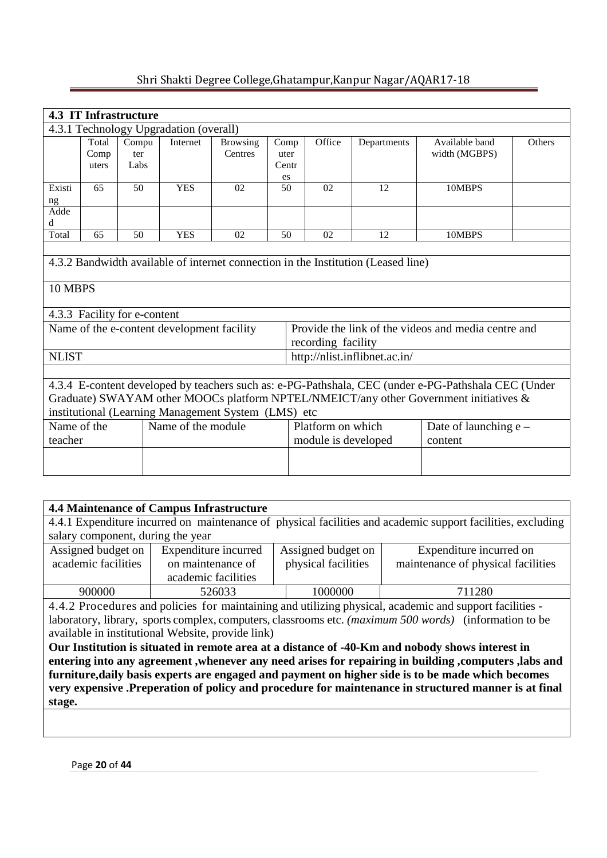|                                                                                                                                                                                                                                                                                                                                                                                       | <b>4.3 IT Infrastructure</b> |                              |                                            |                            |                             |                    |                                                                                   |                                                     |        |  |  |
|---------------------------------------------------------------------------------------------------------------------------------------------------------------------------------------------------------------------------------------------------------------------------------------------------------------------------------------------------------------------------------------|------------------------------|------------------------------|--------------------------------------------|----------------------------|-----------------------------|--------------------|-----------------------------------------------------------------------------------|-----------------------------------------------------|--------|--|--|
| 4.3.1 Technology Upgradation (overall)                                                                                                                                                                                                                                                                                                                                                |                              |                              |                                            |                            |                             |                    |                                                                                   |                                                     |        |  |  |
|                                                                                                                                                                                                                                                                                                                                                                                       | Total<br>Comp<br>uters       | Compu<br>ter<br>Labs         | Internet                                   | <b>Browsing</b><br>Centres | Comp<br>uter<br>Centr<br>es | Office             | Departments                                                                       | Available band<br>width (MGBPS)                     | Others |  |  |
| Existi<br>ng                                                                                                                                                                                                                                                                                                                                                                          | 65                           | 50                           | <b>YES</b>                                 | 02                         | 50                          | 02                 | 12                                                                                | 10MBPS                                              |        |  |  |
| Adde<br>d                                                                                                                                                                                                                                                                                                                                                                             |                              |                              |                                            |                            |                             |                    |                                                                                   |                                                     |        |  |  |
| Total                                                                                                                                                                                                                                                                                                                                                                                 | 65                           | 50                           | <b>YES</b>                                 | 02                         | 50                          | 02                 | 12                                                                                | 10MBPS                                              |        |  |  |
| 10 MBPS                                                                                                                                                                                                                                                                                                                                                                               |                              |                              |                                            |                            |                             |                    | 4.3.2 Bandwidth available of internet connection in the Institution (Leased line) |                                                     |        |  |  |
|                                                                                                                                                                                                                                                                                                                                                                                       |                              | 4.3.3 Facility for e-content | Name of the e-content development facility |                            |                             | recording facility |                                                                                   | Provide the link of the videos and media centre and |        |  |  |
| <b>NLIST</b>                                                                                                                                                                                                                                                                                                                                                                          |                              |                              |                                            |                            |                             |                    | http://nlist.inflibnet.ac.in/                                                     |                                                     |        |  |  |
| 4.3.4 E-content developed by teachers such as: e-PG-Pathshala, CEC (under e-PG-Pathshala CEC (Under<br>Graduate) SWAYAM other MOOCs platform NPTEL/NMEICT/any other Government initiatives &<br>institutional (Learning Management System (LMS) etc<br>Name of the<br>Name of the module<br>Platform on which<br>Date of launching $e$ –<br>teacher<br>module is developed<br>content |                              |                              |                                            |                            |                             |                    |                                                                                   |                                                     |        |  |  |
|                                                                                                                                                                                                                                                                                                                                                                                       |                              |                              |                                            |                            |                             |                    |                                                                                   |                                                     |        |  |  |

| <b>4.4 Maintenance of Campus Infrastructure</b>                                                             |                                                                                                         |         |                                                                                                        |  |  |  |  |  |  |  |
|-------------------------------------------------------------------------------------------------------------|---------------------------------------------------------------------------------------------------------|---------|--------------------------------------------------------------------------------------------------------|--|--|--|--|--|--|--|
| 4.4.1 Expenditure incurred on maintenance of physical facilities and academic support facilities, excluding |                                                                                                         |         |                                                                                                        |  |  |  |  |  |  |  |
| salary component, during the year                                                                           |                                                                                                         |         |                                                                                                        |  |  |  |  |  |  |  |
| Assigned budget on<br>Expenditure incurred<br>Assigned budget on<br>Expenditure incurred on                 |                                                                                                         |         |                                                                                                        |  |  |  |  |  |  |  |
| academic facilities                                                                                         | physical facilities<br>on maintenance of<br>maintenance of physical facilities                          |         |                                                                                                        |  |  |  |  |  |  |  |
|                                                                                                             | academic facilities                                                                                     |         |                                                                                                        |  |  |  |  |  |  |  |
| 900000                                                                                                      | 526033                                                                                                  | 1000000 | 711280                                                                                                 |  |  |  |  |  |  |  |
|                                                                                                             | 4.4.2 Procedures and policies for maintaining and utilizing physical, academic and support facilities - |         |                                                                                                        |  |  |  |  |  |  |  |
|                                                                                                             |                                                                                                         |         | laboratory, library, sports complex, computers, classrooms etc. (maximum 500 words) (information to be |  |  |  |  |  |  |  |
|                                                                                                             | available in institutional Website, provide link)                                                       |         |                                                                                                        |  |  |  |  |  |  |  |

**Our Institution is situated in remote area at a distance of -40-Km and nobody shows interest in entering into any agreement ,whenever any need arises for repairing in building ,computers ,labs and furniture,daily basis experts are engaged and payment on higher side is to be made which becomes very expensive .Preperation of policy and procedure for maintenance in structured manner is at final stage.**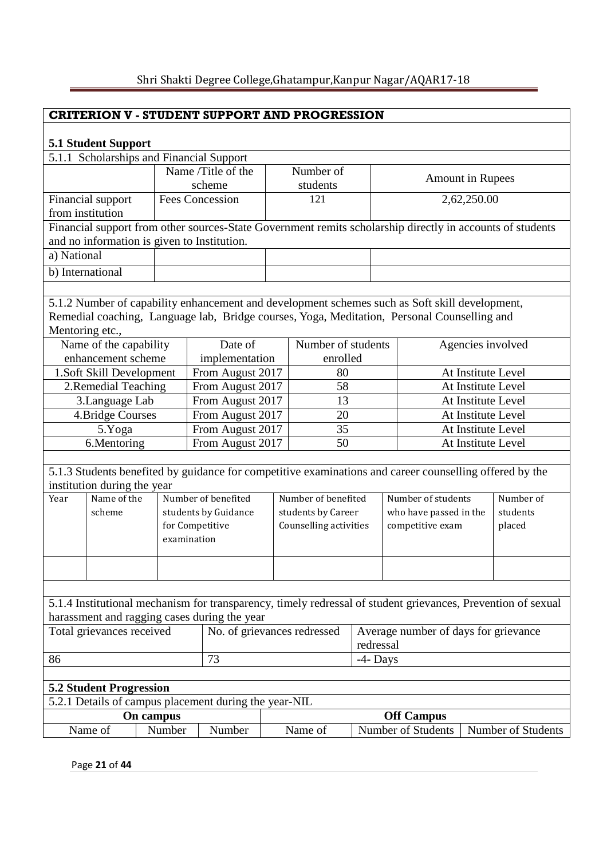# **CRITERION V - STUDENT SUPPORT AND PROGRESSION**

# **5.1 Student Support**

| 5.1 Student Support                                                                            |                                             |                 |                                              |  |                        |             |  |                                                                                                              |                    |  |  |  |
|------------------------------------------------------------------------------------------------|---------------------------------------------|-----------------|----------------------------------------------|--|------------------------|-------------|--|--------------------------------------------------------------------------------------------------------------|--------------------|--|--|--|
| 5.1.1 Scholarships and Financial Support<br>Name /Title of the<br>Number of                    |                                             |                 |                                              |  |                        |             |  |                                                                                                              |                    |  |  |  |
|                                                                                                |                                             |                 | scheme                                       |  | students               |             |  | <b>Amount in Rupees</b>                                                                                      |                    |  |  |  |
|                                                                                                | Financial support                           |                 | <b>Fees Concession</b>                       |  | 121                    |             |  | 2,62,250.00                                                                                                  |                    |  |  |  |
|                                                                                                | from institution                            |                 |                                              |  |                        |             |  |                                                                                                              |                    |  |  |  |
|                                                                                                |                                             |                 |                                              |  |                        |             |  | Financial support from other sources-State Government remits scholarship directly in accounts of students    |                    |  |  |  |
|                                                                                                | and no information is given to Institution. |                 |                                              |  |                        |             |  |                                                                                                              |                    |  |  |  |
| a) National                                                                                    |                                             |                 |                                              |  |                        |             |  |                                                                                                              |                    |  |  |  |
| b) International                                                                               |                                             |                 |                                              |  |                        |             |  |                                                                                                              |                    |  |  |  |
|                                                                                                |                                             |                 |                                              |  |                        |             |  |                                                                                                              |                    |  |  |  |
| 5.1.2 Number of capability enhancement and development schemes such as Soft skill development, |                                             |                 |                                              |  |                        |             |  |                                                                                                              |                    |  |  |  |
|                                                                                                |                                             |                 |                                              |  |                        |             |  | Remedial coaching, Language lab, Bridge courses, Yoga, Meditation, Personal Counselling and                  |                    |  |  |  |
| Mentoring etc.,                                                                                |                                             |                 |                                              |  |                        |             |  |                                                                                                              |                    |  |  |  |
| Name of the capability<br>Number of students<br>Date of<br>Agencies involved                   |                                             |                 |                                              |  |                        |             |  |                                                                                                              |                    |  |  |  |
|                                                                                                | enhancement scheme                          |                 | implementation                               |  | enrolled               |             |  |                                                                                                              |                    |  |  |  |
|                                                                                                | 1.Soft Skill Development                    |                 | From August 2017                             |  | 80                     |             |  | At Institute Level                                                                                           |                    |  |  |  |
|                                                                                                | 2.Remedial Teaching                         |                 | From August 2017                             |  | 58                     |             |  | At Institute Level                                                                                           |                    |  |  |  |
|                                                                                                | 3.Language Lab                              |                 | From August 2017                             |  | 13                     |             |  | At Institute Level                                                                                           |                    |  |  |  |
|                                                                                                | 4. Bridge Courses                           |                 | From August 2017                             |  | 20                     |             |  | At Institute Level                                                                                           |                    |  |  |  |
|                                                                                                | 5.Yoga                                      |                 | From August 2017                             |  | 35                     |             |  | At Institute Level                                                                                           |                    |  |  |  |
|                                                                                                | 6.Mentoring                                 |                 | From August 2017                             |  | 50                     |             |  | At Institute Level                                                                                           |                    |  |  |  |
|                                                                                                |                                             |                 |                                              |  |                        |             |  |                                                                                                              |                    |  |  |  |
|                                                                                                | institution during the year                 |                 |                                              |  |                        |             |  | 5.1.3 Students benefited by guidance for competitive examinations and career counselling offered by the      |                    |  |  |  |
| Year                                                                                           | Name of the                                 |                 | Number of benefited                          |  | Number of benefited    |             |  | Number of students                                                                                           | Number of          |  |  |  |
|                                                                                                | scheme                                      |                 | students by Guidance                         |  | students by Career     |             |  | who have passed in the                                                                                       | students           |  |  |  |
|                                                                                                |                                             | for Competitive |                                              |  | Counselling activities |             |  | competitive exam                                                                                             | placed             |  |  |  |
|                                                                                                |                                             | examination     |                                              |  |                        |             |  |                                                                                                              |                    |  |  |  |
|                                                                                                |                                             |                 |                                              |  |                        |             |  |                                                                                                              |                    |  |  |  |
|                                                                                                |                                             |                 |                                              |  |                        |             |  |                                                                                                              |                    |  |  |  |
|                                                                                                |                                             |                 |                                              |  |                        |             |  |                                                                                                              |                    |  |  |  |
|                                                                                                |                                             |                 |                                              |  |                        |             |  | 5.1.4 Institutional mechanism for transparency, timely redressal of student grievances, Prevention of sexual |                    |  |  |  |
|                                                                                                |                                             |                 | harassment and ragging cases during the year |  |                        |             |  |                                                                                                              |                    |  |  |  |
|                                                                                                | Total grievances received                   |                 | No. of grievances redressed                  |  |                        |             |  | Average number of days for grievance                                                                         |                    |  |  |  |
|                                                                                                |                                             |                 |                                              |  |                        | redressal   |  |                                                                                                              |                    |  |  |  |
| 86                                                                                             |                                             |                 | 73                                           |  |                        | $-4$ - Days |  |                                                                                                              |                    |  |  |  |
|                                                                                                |                                             |                 |                                              |  |                        |             |  |                                                                                                              |                    |  |  |  |
| <b>5.2 Student Progression</b><br>5.2.1 Details of campus placement during the year-NIL        |                                             |                 |                                              |  |                        |             |  |                                                                                                              |                    |  |  |  |
|                                                                                                | <b>Off Campus</b><br>On campus              |                 |                                              |  |                        |             |  |                                                                                                              |                    |  |  |  |
|                                                                                                | Name of                                     | Number          | Number                                       |  | Name of                |             |  | Number of Students                                                                                           | Number of Students |  |  |  |
|                                                                                                |                                             |                 |                                              |  |                        |             |  |                                                                                                              |                    |  |  |  |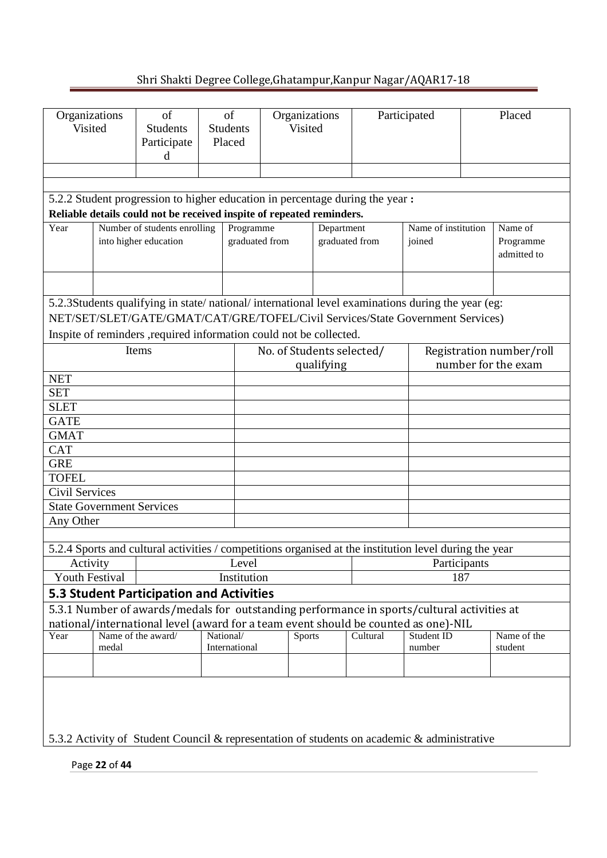| Organizations<br>Visited                                                                                                                               |  | of<br><b>Students</b><br>Participate<br>d                                                              |  | of<br><b>Students</b><br>Placed |  | Organizations<br><b>Visited</b> |  | Participated | Placed |                          |  |  |  |
|--------------------------------------------------------------------------------------------------------------------------------------------------------|--|--------------------------------------------------------------------------------------------------------|--|---------------------------------|--|---------------------------------|--|--------------|--------|--------------------------|--|--|--|
|                                                                                                                                                        |  |                                                                                                        |  |                                 |  |                                 |  |              |        |                          |  |  |  |
|                                                                                                                                                        |  |                                                                                                        |  |                                 |  |                                 |  |              |        |                          |  |  |  |
| 5.2.2 Student progression to higher education in percentage during the year :<br>Reliable details could not be received inspite of repeated reminders. |  |                                                                                                        |  |                                 |  |                                 |  |              |        |                          |  |  |  |
| Number of students enrolling<br>Name of institution<br>Programme<br>Name of<br>Year<br>Department                                                      |  |                                                                                                        |  |                                 |  |                                 |  |              |        |                          |  |  |  |
| into higher education<br>graduated from<br>graduated from<br>joined                                                                                    |  |                                                                                                        |  |                                 |  |                                 |  |              |        |                          |  |  |  |
|                                                                                                                                                        |  |                                                                                                        |  |                                 |  |                                 |  |              |        | Programme<br>admitted to |  |  |  |
|                                                                                                                                                        |  |                                                                                                        |  |                                 |  |                                 |  |              |        |                          |  |  |  |
| 5.2.3Students qualifying in state/national/international level examinations during the year (eg:                                                       |  |                                                                                                        |  |                                 |  |                                 |  |              |        |                          |  |  |  |
|                                                                                                                                                        |  |                                                                                                        |  |                                 |  |                                 |  |              |        |                          |  |  |  |
| NET/SET/SLET/GATE/GMAT/CAT/GRE/TOFEL/Civil Services/State Government Services)<br>Inspite of reminders , required information could not be collected.  |  |                                                                                                        |  |                                 |  |                                 |  |              |        |                          |  |  |  |
| Items                                                                                                                                                  |  |                                                                                                        |  |                                 |  |                                 |  |              |        |                          |  |  |  |
| No. of Students selected/<br>Registration number/roll<br>number for the exam<br>qualifying                                                             |  |                                                                                                        |  |                                 |  |                                 |  |              |        |                          |  |  |  |
| <b>NET</b>                                                                                                                                             |  |                                                                                                        |  |                                 |  |                                 |  |              |        |                          |  |  |  |
| <b>SET</b>                                                                                                                                             |  |                                                                                                        |  |                                 |  |                                 |  |              |        |                          |  |  |  |
| <b>SLET</b>                                                                                                                                            |  |                                                                                                        |  |                                 |  |                                 |  |              |        |                          |  |  |  |
| <b>GATE</b>                                                                                                                                            |  |                                                                                                        |  |                                 |  |                                 |  |              |        |                          |  |  |  |
| <b>GMAT</b>                                                                                                                                            |  |                                                                                                        |  |                                 |  |                                 |  |              |        |                          |  |  |  |
| <b>CAT</b>                                                                                                                                             |  |                                                                                                        |  |                                 |  |                                 |  |              |        |                          |  |  |  |
| <b>GRE</b>                                                                                                                                             |  |                                                                                                        |  |                                 |  |                                 |  |              |        |                          |  |  |  |
| <b>TOFEL</b>                                                                                                                                           |  |                                                                                                        |  |                                 |  |                                 |  |              |        |                          |  |  |  |
| Civil Services                                                                                                                                         |  |                                                                                                        |  |                                 |  |                                 |  |              |        |                          |  |  |  |
| <b>State Government Services</b>                                                                                                                       |  |                                                                                                        |  |                                 |  |                                 |  |              |        |                          |  |  |  |
| Any Other                                                                                                                                              |  |                                                                                                        |  |                                 |  |                                 |  |              |        |                          |  |  |  |
|                                                                                                                                                        |  |                                                                                                        |  |                                 |  |                                 |  |              |        |                          |  |  |  |
|                                                                                                                                                        |  | 5.2.4 Sports and cultural activities / competitions organised at the institution level during the year |  |                                 |  |                                 |  |              |        |                          |  |  |  |
| Activity                                                                                                                                               |  |                                                                                                        |  | Level                           |  |                                 |  | Participants |        |                          |  |  |  |
| <b>Youth Festival</b>                                                                                                                                  |  |                                                                                                        |  | Institution                     |  |                                 |  | 187          |        |                          |  |  |  |
|                                                                                                                                                        |  | <b>5.3 Student Participation and Activities</b>                                                        |  |                                 |  |                                 |  |              |        |                          |  |  |  |
|                                                                                                                                                        |  | 5.3.1 Number of awards/medals for outstanding performance in sports/cultural activities at             |  |                                 |  |                                 |  |              |        |                          |  |  |  |
|                                                                                                                                                        |  | national/international level (award for a team event should be counted as one)-NIL                     |  |                                 |  |                                 |  |              |        |                          |  |  |  |
| Name of the award/<br>Name of the<br>National/<br>Cultural<br>Student ID<br>Year<br>Sports<br>International<br>medal<br>number<br>student              |  |                                                                                                        |  |                                 |  |                                 |  |              |        |                          |  |  |  |
|                                                                                                                                                        |  |                                                                                                        |  |                                 |  |                                 |  |              |        |                          |  |  |  |
| 5.3.2 Activity of Student Council & representation of students on academic & administrative                                                            |  |                                                                                                        |  |                                 |  |                                 |  |              |        |                          |  |  |  |
|                                                                                                                                                        |  |                                                                                                        |  |                                 |  |                                 |  |              |        |                          |  |  |  |

Page **22** of **44**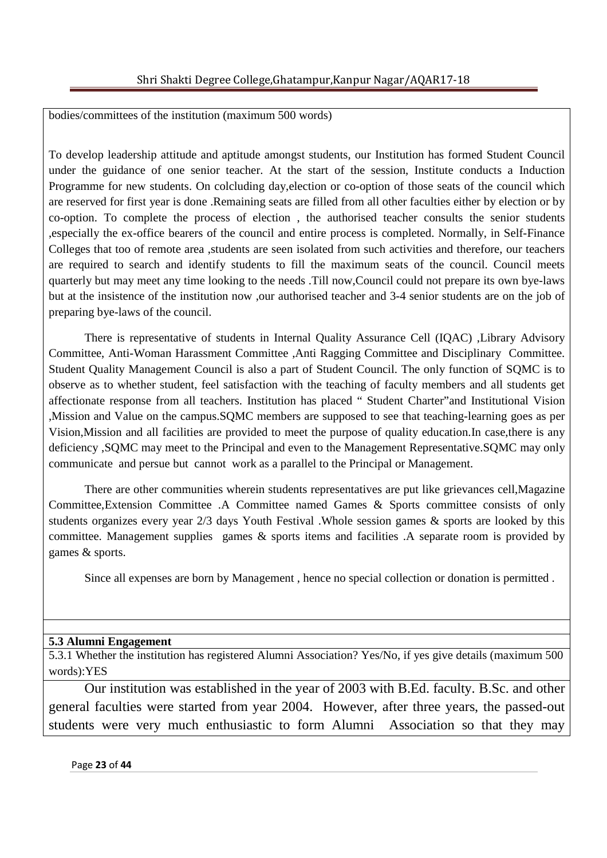bodies/committees of the institution (maximum 500 words)

To develop leadership attitude and aptitude amongst students, our Institution has formed Student Council under the guidance of one senior teacher. At the start of the session, Institute conducts a Induction Programme for new students. On colcluding day,election or co-option of those seats of the council which are reserved for first year is done .Remaining seats are filled from all other faculties either by election or by co-option. To complete the process of election , the authorised teacher consults the senior students ,especially the ex-office bearers of the council and entire process is completed. Normally, in Self-Finance Colleges that too of remote area ,students are seen isolated from such activities and therefore, our teachers are required to search and identify students to fill the maximum seats of the council. Council meets quarterly but may meet any time looking to the needs .Till now,Council could not prepare its own bye-laws but at the insistence of the institution now ,our authorised teacher and 3-4 senior students are on the job of preparing bye-laws of the council.

 There is representative of students in Internal Quality Assurance Cell (IQAC) ,Library Advisory Committee, Anti-Woman Harassment Committee ,Anti Ragging Committee and Disciplinary Committee. Student Quality Management Council is also a part of Student Council. The only function of SQMC is to observe as to whether student, feel satisfaction with the teaching of faculty members and all students get affectionate response from all teachers. Institution has placed " Student Charter"and Institutional Vision ,Mission and Value on the campus.SQMC members are supposed to see that teaching-learning goes as per Vision,Mission and all facilities are provided to meet the purpose of quality education.In case,there is any deficiency ,SQMC may meet to the Principal and even to the Management Representative.SQMC may only communicate and persue but cannot work as a parallel to the Principal or Management.

 There are other communities wherein students representatives are put like grievances cell,Magazine Committee,Extension Committee .A Committee named Games & Sports committee consists of only students organizes every year 2/3 days Youth Festival .Whole session games & sports are looked by this committee. Management supplies games & sports items and facilities .A separate room is provided by games & sports.

Since all expenses are born by Management , hence no special collection or donation is permitted .

## **5.3 Alumni Engagement**

5.3.1 Whether the institution has registered Alumni Association? Yes/No, if yes give details (maximum 500 words):YES

Our institution was established in the year of 2003 with B.Ed. faculty. B.Sc. and other general faculties were started from year 2004. However, after three years, the passed-out students were very much enthusiastic to form Alumni Association so that they may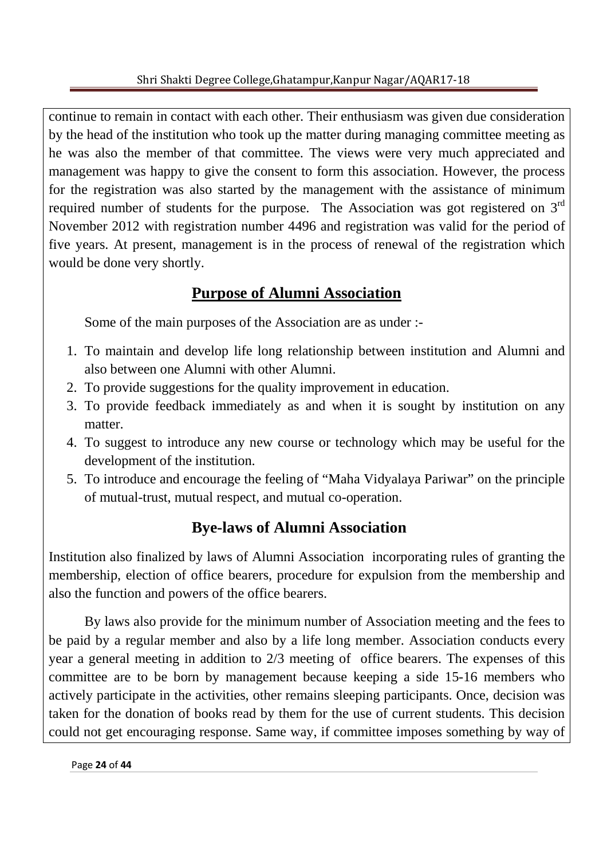continue to remain in contact with each other. Their enthusiasm was given due consideration by the head of the institution who took up the matter during managing committee meeting as he was also the member of that committee. The views were very much appreciated and management was happy to give the consent to form this association. However, the process for the registration was also started by the management with the assistance of minimum required number of students for the purpose. The Association was got registered on 3<sup>rd</sup> November 2012 with registration number 4496 and registration was valid for the period of five years. At present, management is in the process of renewal of the registration which would be done very shortly.

# **Purpose of Alumni Association**

Some of the main purposes of the Association are as under :-

- 1. To maintain and develop life long relationship between institution and Alumni and also between one Alumni with other Alumni.
- 2. To provide suggestions for the quality improvement in education.
- 3. To provide feedback immediately as and when it is sought by institution on any matter.
- 4. To suggest to introduce any new course or technology which may be useful for the development of the institution.
- 5. To introduce and encourage the feeling of "Maha Vidyalaya Pariwar" on the principle of mutual-trust, mutual respect, and mutual co-operation.

# **Bye-laws of Alumni Association**

Institution also finalized by laws of Alumni Association incorporating rules of granting the membership, election of office bearers, procedure for expulsion from the membership and also the function and powers of the office bearers.

 By laws also provide for the minimum number of Association meeting and the fees to be paid by a regular member and also by a life long member. Association conducts every year a general meeting in addition to 2/3 meeting of office bearers. The expenses of this committee are to be born by management because keeping a side 15-16 members who actively participate in the activities, other remains sleeping participants. Once, decision was taken for the donation of books read by them for the use of current students. This decision could not get encouraging response. Same way, if committee imposes something by way of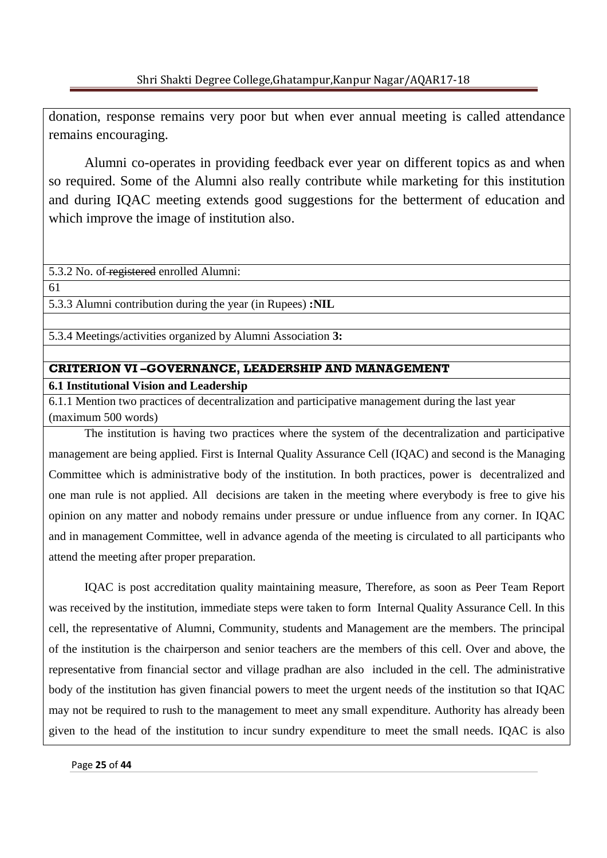donation, response remains very poor but when ever annual meeting is called attendance remains encouraging.

 Alumni co-operates in providing feedback ever year on different topics as and when so required. Some of the Alumni also really contribute while marketing for this institution and during IQAC meeting extends good suggestions for the betterment of education and which improve the image of institution also.

5.3.2 No. of registered enrolled Alumni:

61

5.3.3 Alumni contribution during the year (in Rupees) **:NIL** 

5.3.4 Meetings/activities organized by Alumni Association **3:** 

# **CRITERION VI –GOVERNANCE, LEADERSHIP AND MANAGEMENT**

### **6.1 Institutional Vision and Leadership**

6.1.1 Mention two practices of decentralization and participative management during the last year (maximum 500 words)

The institution is having two practices where the system of the decentralization and participative management are being applied. First is Internal Quality Assurance Cell (IQAC) and second is the Managing Committee which is administrative body of the institution. In both practices, power is decentralized and one man rule is not applied. All decisions are taken in the meeting where everybody is free to give his opinion on any matter and nobody remains under pressure or undue influence from any corner. In IQAC and in management Committee, well in advance agenda of the meeting is circulated to all participants who attend the meeting after proper preparation.

 IQAC is post accreditation quality maintaining measure, Therefore, as soon as Peer Team Report was received by the institution, immediate steps were taken to form Internal Quality Assurance Cell. In this cell, the representative of Alumni, Community, students and Management are the members. The principal of the institution is the chairperson and senior teachers are the members of this cell. Over and above, the representative from financial sector and village pradhan are also included in the cell. The administrative body of the institution has given financial powers to meet the urgent needs of the institution so that IQAC may not be required to rush to the management to meet any small expenditure. Authority has already been given to the head of the institution to incur sundry expenditure to meet the small needs. IQAC is also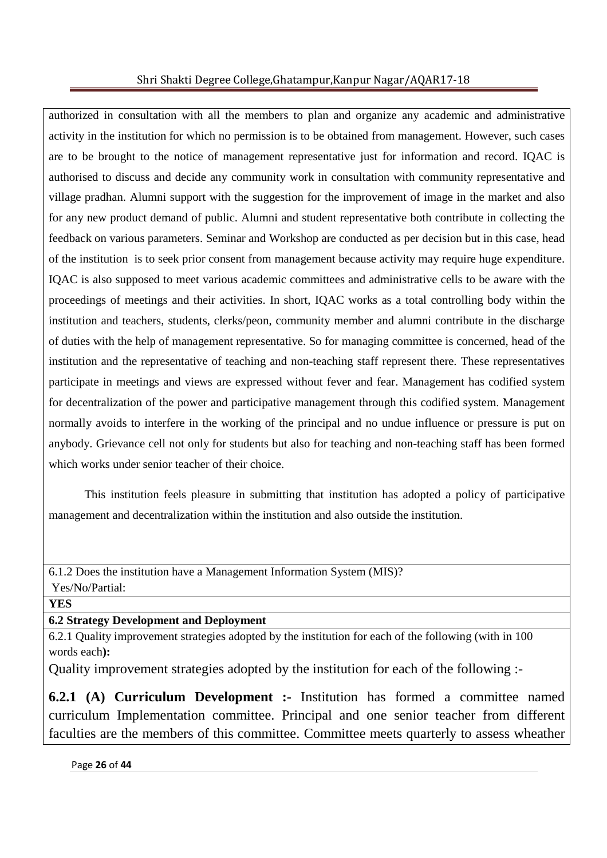authorized in consultation with all the members to plan and organize any academic and administrative activity in the institution for which no permission is to be obtained from management. However, such cases are to be brought to the notice of management representative just for information and record. IQAC is authorised to discuss and decide any community work in consultation with community representative and village pradhan. Alumni support with the suggestion for the improvement of image in the market and also for any new product demand of public. Alumni and student representative both contribute in collecting the feedback on various parameters. Seminar and Workshop are conducted as per decision but in this case, head of the institution is to seek prior consent from management because activity may require huge expenditure. IQAC is also supposed to meet various academic committees and administrative cells to be aware with the proceedings of meetings and their activities. In short, IQAC works as a total controlling body within the institution and teachers, students, clerks/peon, community member and alumni contribute in the discharge of duties with the help of management representative. So for managing committee is concerned, head of the institution and the representative of teaching and non-teaching staff represent there. These representatives participate in meetings and views are expressed without fever and fear. Management has codified system for decentralization of the power and participative management through this codified system. Management normally avoids to interfere in the working of the principal and no undue influence or pressure is put on anybody. Grievance cell not only for students but also for teaching and non-teaching staff has been formed which works under senior teacher of their choice.

 This institution feels pleasure in submitting that institution has adopted a policy of participative management and decentralization within the institution and also outside the institution.

6.1.2 Does the institution have a Management Information System (MIS)? Yes/No/Partial:

**YES**

**6.2 Strategy Development and Deployment** 

6.2.1 Quality improvement strategies adopted by the institution for each of the following (with in 100 words each**):** 

Quality improvement strategies adopted by the institution for each of the following :-

**6.2.1 (A) Curriculum Development :-** Institution has formed a committee named curriculum Implementation committee. Principal and one senior teacher from different faculties are the members of this committee. Committee meets quarterly to assess wheather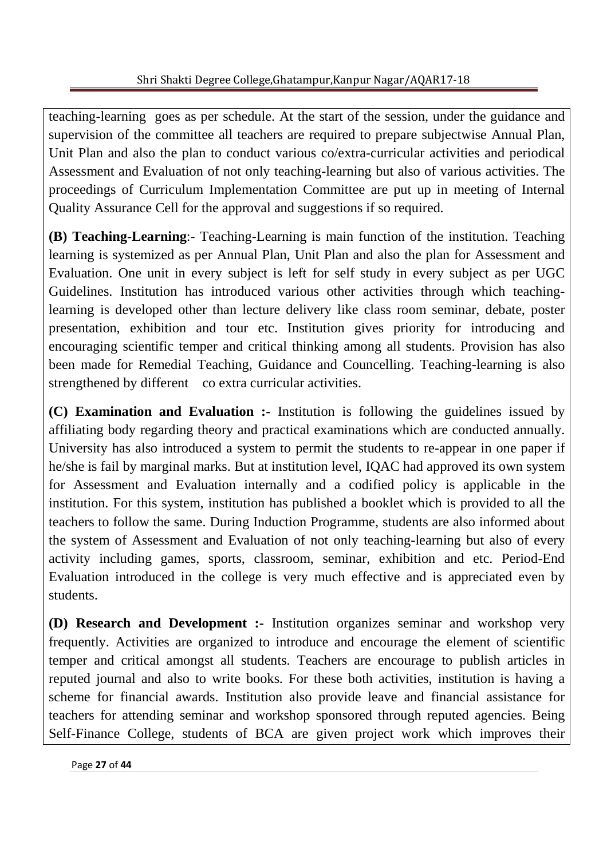teaching-learning goes as per schedule. At the start of the session, under the guidance and supervision of the committee all teachers are required to prepare subjectwise Annual Plan, Unit Plan and also the plan to conduct various co/extra-curricular activities and periodical Assessment and Evaluation of not only teaching-learning but also of various activities. The proceedings of Curriculum Implementation Committee are put up in meeting of Internal Quality Assurance Cell for the approval and suggestions if so required.

**(B) Teaching-Learning**:- Teaching-Learning is main function of the institution. Teaching learning is systemized as per Annual Plan, Unit Plan and also the plan for Assessment and Evaluation. One unit in every subject is left for self study in every subject as per UGC Guidelines. Institution has introduced various other activities through which teachinglearning is developed other than lecture delivery like class room seminar, debate, poster presentation, exhibition and tour etc. Institution gives priority for introducing and encouraging scientific temper and critical thinking among all students. Provision has also been made for Remedial Teaching, Guidance and Councelling. Teaching-learning is also strengthened by different co extra curricular activities.

**(C) Examination and Evaluation :-** Institution is following the guidelines issued by affiliating body regarding theory and practical examinations which are conducted annually. University has also introduced a system to permit the students to re-appear in one paper if he/she is fail by marginal marks. But at institution level, IQAC had approved its own system for Assessment and Evaluation internally and a codified policy is applicable in the institution. For this system, institution has published a booklet which is provided to all the teachers to follow the same. During Induction Programme, students are also informed about the system of Assessment and Evaluation of not only teaching-learning but also of every activity including games, sports, classroom, seminar, exhibition and etc. Period-End Evaluation introduced in the college is very much effective and is appreciated even by students.

**(D) Research and Development :-** Institution organizes seminar and workshop very frequently. Activities are organized to introduce and encourage the element of scientific temper and critical amongst all students. Teachers are encourage to publish articles in reputed journal and also to write books. For these both activities, institution is having a scheme for financial awards. Institution also provide leave and financial assistance for teachers for attending seminar and workshop sponsored through reputed agencies. Being Self-Finance College, students of BCA are given project work which improves their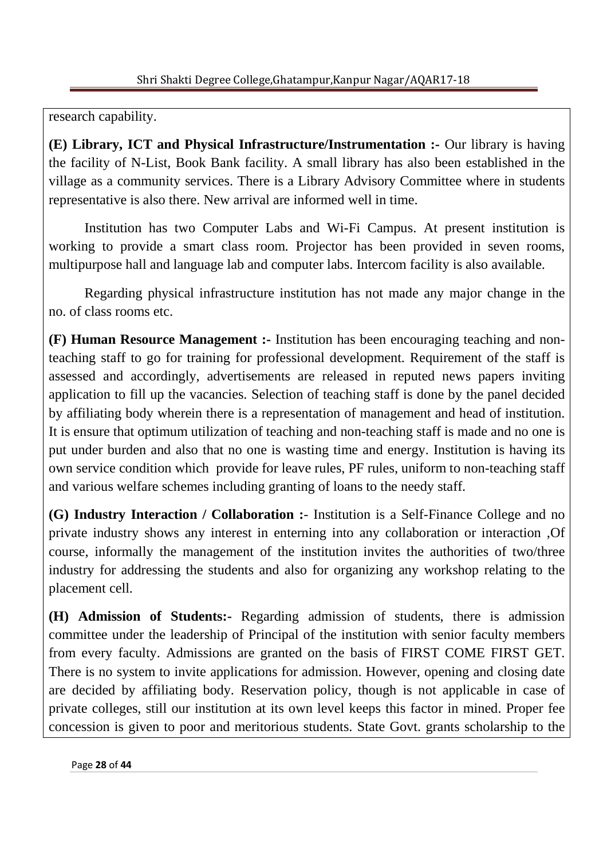research capability.

**(E) Library, ICT and Physical Infrastructure/Instrumentation :-** Our library is having the facility of N-List, Book Bank facility. A small library has also been established in the village as a community services. There is a Library Advisory Committee where in students representative is also there. New arrival are informed well in time.

 Institution has two Computer Labs and Wi-Fi Campus. At present institution is working to provide a smart class room. Projector has been provided in seven rooms, multipurpose hall and language lab and computer labs. Intercom facility is also available.

 Regarding physical infrastructure institution has not made any major change in the no. of class rooms etc.

**(F) Human Resource Management :-** Institution has been encouraging teaching and nonteaching staff to go for training for professional development. Requirement of the staff is assessed and accordingly, advertisements are released in reputed news papers inviting application to fill up the vacancies. Selection of teaching staff is done by the panel decided by affiliating body wherein there is a representation of management and head of institution. It is ensure that optimum utilization of teaching and non-teaching staff is made and no one is put under burden and also that no one is wasting time and energy. Institution is having its own service condition which provide for leave rules, PF rules, uniform to non-teaching staff and various welfare schemes including granting of loans to the needy staff.

**(G) Industry Interaction / Collaboration :**- Institution is a Self-Finance College and no private industry shows any interest in enterning into any collaboration or interaction ,Of course, informally the management of the institution invites the authorities of two/three industry for addressing the students and also for organizing any workshop relating to the placement cell.

**(H) Admission of Students:-** Regarding admission of students, there is admission committee under the leadership of Principal of the institution with senior faculty members from every faculty. Admissions are granted on the basis of FIRST COME FIRST GET. There is no system to invite applications for admission. However, opening and closing date are decided by affiliating body. Reservation policy, though is not applicable in case of private colleges, still our institution at its own level keeps this factor in mined. Proper fee concession is given to poor and meritorious students. State Govt. grants scholarship to the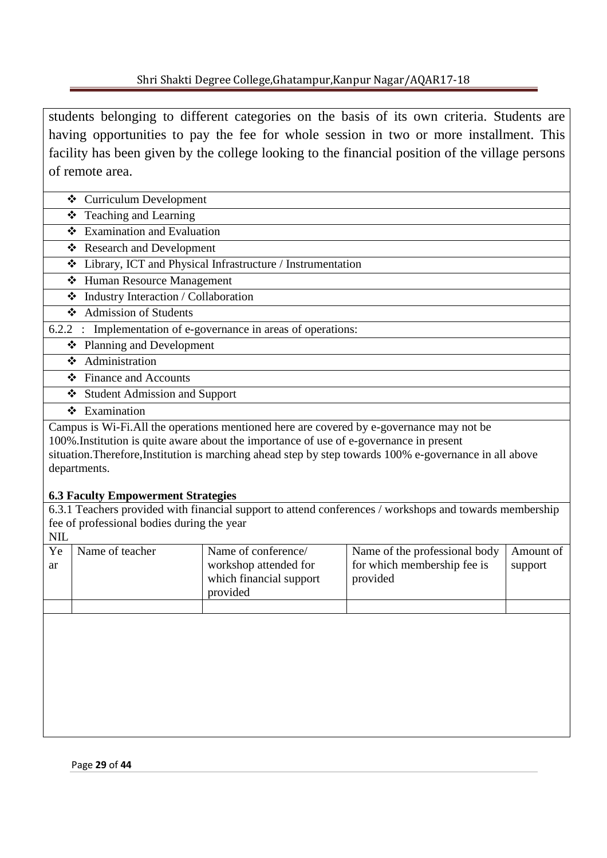students belonging to different categories on the basis of its own criteria. Students are having opportunities to pay the fee for whole session in two or more installment. This facility has been given by the college looking to the financial position of the village persons of remote area.

- Curriculum Development
- Teaching and Learning
- $\triangle$  Examination and Evaluation
- **❖** Research and Development
- Library, ICT and Physical Infrastructure / Instrumentation
- Human Resource Management
- $\triangleleft$  Industry Interaction / Collaboration
- Admission of Students
- 6.2.2 : Implementation of e-governance in areas of operations:
	- Planning and Development
	- $\triangleleft$  Administration
	- ❖ Finance and Accounts
	- Student Admission and Support
	- Examination

Campus is Wi-Fi.All the operations mentioned here are covered by e-governance may not be 100%.Institution is quite aware about the importance of use of e-governance in present situation.Therefore,Institution is marching ahead step by step towards 100% e-governance in all above

departments.

## **6.3 Faculty Empowerment Strategies**

6.3.1 Teachers provided with financial support to attend conferences / workshops and towards membership fee of professional bodies during the year

| <b>NIL</b> |                 |                                                              |                                         |           |
|------------|-----------------|--------------------------------------------------------------|-----------------------------------------|-----------|
| Ye         | Name of teacher | Name of conference/                                          | Name of the professional body           | Amount of |
| ar         |                 | workshop attended for<br>which financial support<br>provided | for which membership fee is<br>provided | support   |
|            |                 |                                                              |                                         |           |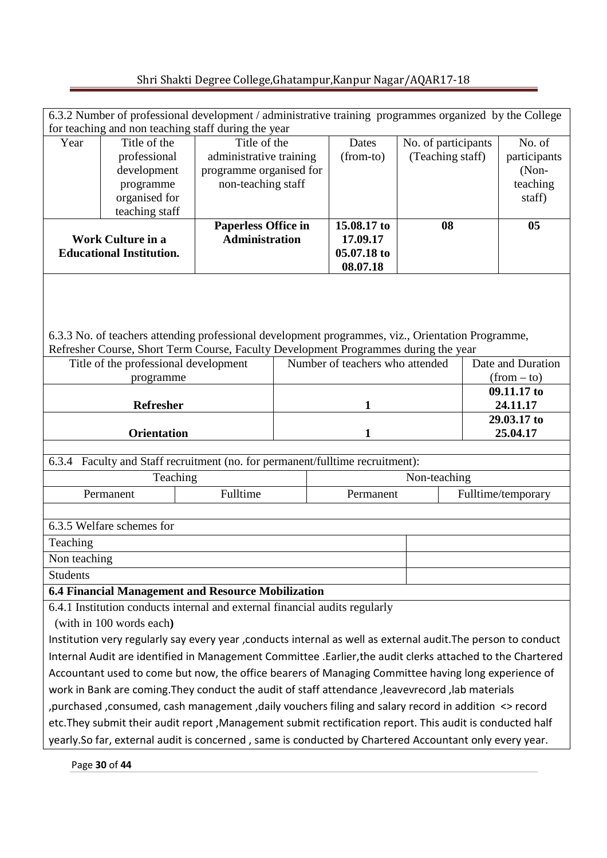| 6.3.2 Number of professional development / administrative training programmes organized by the College<br>for teaching and non teaching staff during the year                                                                |                                                                               |                                                                                                                                                                                          |                         |                                 |                                         |                                    |                    |
|------------------------------------------------------------------------------------------------------------------------------------------------------------------------------------------------------------------------------|-------------------------------------------------------------------------------|------------------------------------------------------------------------------------------------------------------------------------------------------------------------------------------|-------------------------|---------------------------------|-----------------------------------------|------------------------------------|--------------------|
| Year                                                                                                                                                                                                                         | Title of the                                                                  |                                                                                                                                                                                          |                         | Dates                           |                                         |                                    | No. of             |
|                                                                                                                                                                                                                              | professional                                                                  | Title of the<br>administrative training                                                                                                                                                  |                         | (from-to)                       | No. of participants<br>(Teaching staff) |                                    | participants       |
|                                                                                                                                                                                                                              | development                                                                   |                                                                                                                                                                                          | programme organised for |                                 |                                         |                                    | (Non-              |
|                                                                                                                                                                                                                              | programme                                                                     | non-teaching staff                                                                                                                                                                       |                         |                                 |                                         |                                    | teaching           |
|                                                                                                                                                                                                                              | organised for                                                                 |                                                                                                                                                                                          |                         |                                 |                                         |                                    | staff)             |
|                                                                                                                                                                                                                              | teaching staff                                                                |                                                                                                                                                                                          |                         |                                 |                                         |                                    |                    |
|                                                                                                                                                                                                                              |                                                                               | <b>Paperless Office in</b>                                                                                                                                                               |                         | 15.08.17 to                     | 08                                      |                                    | 05                 |
| <b>Work Culture in a</b>                                                                                                                                                                                                     |                                                                               |                                                                                                                                                                                          | <b>Administration</b>   |                                 |                                         |                                    |                    |
|                                                                                                                                                                                                                              | <b>Educational Institution.</b>                                               |                                                                                                                                                                                          |                         |                                 |                                         |                                    |                    |
|                                                                                                                                                                                                                              |                                                                               | 6.3.3 No. of teachers attending professional development programmes, viz., Orientation Programme,<br>Refresher Course, Short Term Course, Faculty Development Programmes during the year |                         | Number of teachers who attended |                                         |                                    |                    |
|                                                                                                                                                                                                                              | Title of the professional development<br>programme                            |                                                                                                                                                                                          |                         |                                 |                                         | Date and Duration<br>$(from - to)$ |                    |
| <b>Refresher</b>                                                                                                                                                                                                             |                                                                               |                                                                                                                                                                                          | 1                       |                                 |                                         | 09.11.17 to<br>24.11.17            |                    |
|                                                                                                                                                                                                                              |                                                                               |                                                                                                                                                                                          |                         |                                 |                                         | 29.03.17 to                        |                    |
| <b>Orientation</b>                                                                                                                                                                                                           |                                                                               |                                                                                                                                                                                          | $\mathbf{1}$            |                                 |                                         |                                    | 25.04.17           |
|                                                                                                                                                                                                                              |                                                                               |                                                                                                                                                                                          |                         |                                 |                                         |                                    |                    |
|                                                                                                                                                                                                                              | 6.3.4 Faculty and Staff recruitment (no. for permanent/fulltime recruitment): |                                                                                                                                                                                          |                         |                                 |                                         |                                    |                    |
|                                                                                                                                                                                                                              | Teaching                                                                      |                                                                                                                                                                                          |                         | Non-teaching                    |                                         |                                    |                    |
|                                                                                                                                                                                                                              | Permanent                                                                     | Fulltime                                                                                                                                                                                 |                         | Permanent                       |                                         |                                    | Fulltime/temporary |
| 6.3.5 Welfare schemes for                                                                                                                                                                                                    |                                                                               |                                                                                                                                                                                          |                         |                                 |                                         |                                    |                    |
| Teaching                                                                                                                                                                                                                     |                                                                               |                                                                                                                                                                                          |                         |                                 |                                         |                                    |                    |
| Non teaching                                                                                                                                                                                                                 |                                                                               |                                                                                                                                                                                          |                         |                                 |                                         |                                    |                    |
| <b>Students</b>                                                                                                                                                                                                              |                                                                               |                                                                                                                                                                                          |                         |                                 |                                         |                                    |                    |
|                                                                                                                                                                                                                              |                                                                               | 6.4 Financial Management and Resource Mobilization                                                                                                                                       |                         |                                 |                                         |                                    |                    |
|                                                                                                                                                                                                                              |                                                                               | 6.4.1 Institution conducts internal and external financial audits regularly                                                                                                              |                         |                                 |                                         |                                    |                    |
|                                                                                                                                                                                                                              |                                                                               |                                                                                                                                                                                          |                         |                                 |                                         |                                    |                    |
| (with in 100 words each)                                                                                                                                                                                                     |                                                                               |                                                                                                                                                                                          |                         |                                 |                                         |                                    |                    |
| Institution very regularly say every year , conducts internal as well as external audit. The person to conduct<br>Internal Audit are identified in Management Committee .Earlier, the audit clerks attached to the Chartered |                                                                               |                                                                                                                                                                                          |                         |                                 |                                         |                                    |                    |
| Accountant used to come but now, the office bearers of Managing Committee having long experience of                                                                                                                          |                                                                               |                                                                                                                                                                                          |                         |                                 |                                         |                                    |                    |
| work in Bank are coming. They conduct the audit of staff attendance, leavevrecord, lab materials                                                                                                                             |                                                                               |                                                                                                                                                                                          |                         |                                 |                                         |                                    |                    |
| purchased, consumed, cash management, daily vouchers filing and salary record in addition <> record,                                                                                                                         |                                                                               |                                                                                                                                                                                          |                         |                                 |                                         |                                    |                    |
| etc. They submit their audit report, Management submit rectification report. This audit is conducted half                                                                                                                    |                                                                               |                                                                                                                                                                                          |                         |                                 |                                         |                                    |                    |
| yearly.So far, external audit is concerned, same is conducted by Chartered Accountant only every year.                                                                                                                       |                                                                               |                                                                                                                                                                                          |                         |                                 |                                         |                                    |                    |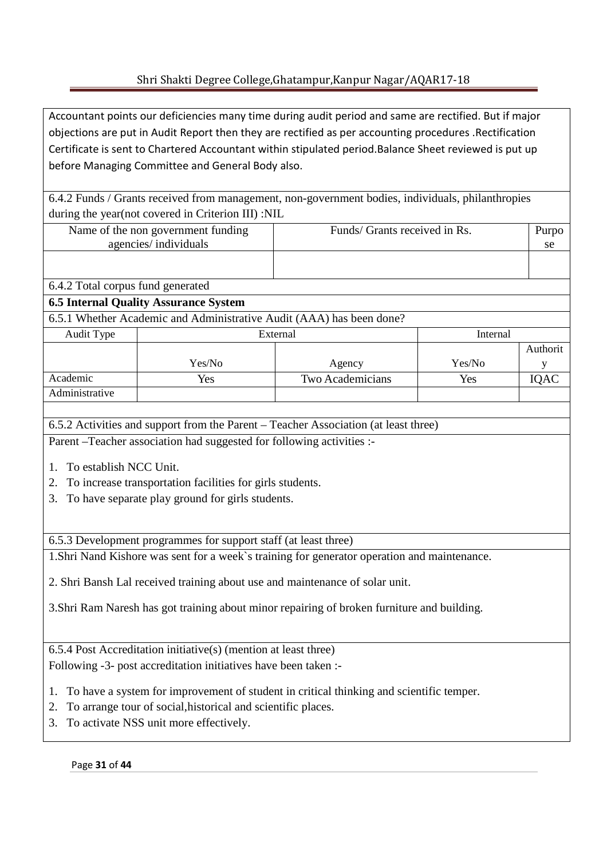Accountant points our deficiencies many time during audit period and same are rectified. But if major objections are put in Audit Report then they are rectified as per accounting procedures .Rectification Certificate is sent to Chartered Accountant within stipulated period.Balance Sheet reviewed is put up before Managing Committee and General Body also.

6.4.2 Funds / Grants received from management, non-government bodies, individuals, philanthropies during the year(not covered in Criterion III) :NIL

| Name of the non government funding | Funds/ Grants received in Rs. | Purpo |
|------------------------------------|-------------------------------|-------|
| agencies/individuals               |                               | se    |
|                                    |                               |       |
|                                    |                               |       |

# 6.4.2 Total corpus fund generated

## **6.5 Internal Quality Assurance System**

6.5.1 Whether Academic and Administrative Audit (AAA) has been done?

| Audit Type     | External | Internal         |        |          |
|----------------|----------|------------------|--------|----------|
|                |          |                  |        | Authorit |
|                | Yes/No   | Agency           | Yes/No |          |
| Academic       | Yes      | Two Academicians | Yes    | IQAC     |
| Administrative |          |                  |        |          |

6.5.2 Activities and support from the Parent – Teacher Association (at least three)

Parent –Teacher association had suggested for following activities :-

- 1. To establish NCC Unit.
- 2. To increase transportation facilities for girls students.
- 3. To have separate play ground for girls students.

6.5.3 Development programmes for support staff (at least three)

1.Shri Nand Kishore was sent for a week`s training for generator operation and maintenance.

2. Shri Bansh Lal received training about use and maintenance of solar unit.

3.Shri Ram Naresh has got training about minor repairing of broken furniture and building.

6.5.4 Post Accreditation initiative(s) (mention at least three) Following -3- post accreditation initiatives have been taken :-

- 1. To have a system for improvement of student in critical thinking and scientific temper.
- 2. To arrange tour of social,historical and scientific places.
- 3. To activate NSS unit more effectively.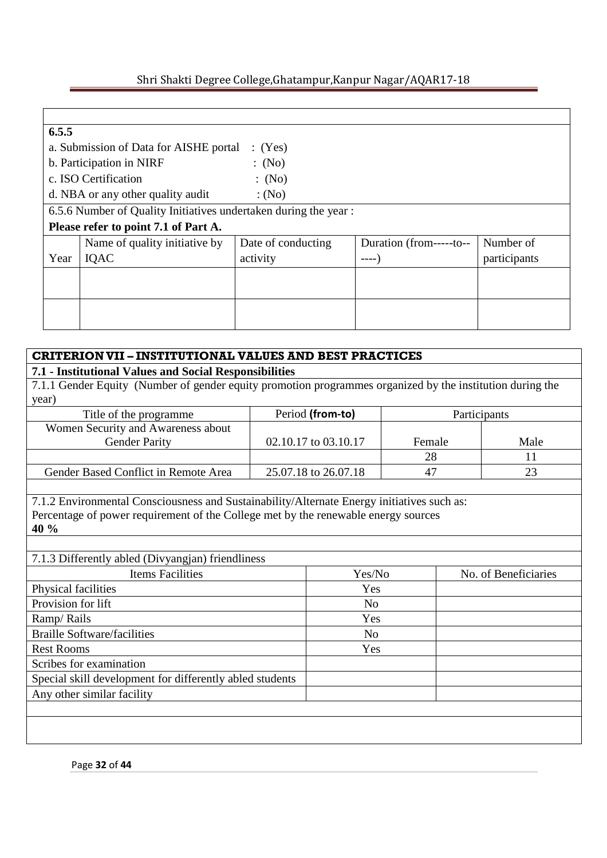### **6.5.5**

| 0.5.5 |                                                                 |                    |                          |              |  |  |  |  |
|-------|-----------------------------------------------------------------|--------------------|--------------------------|--------------|--|--|--|--|
|       | a. Submission of Data for AISHE portal<br>(Yes)                 |                    |                          |              |  |  |  |  |
|       | b. Participation in NIRF                                        | $\colon$ (No)      |                          |              |  |  |  |  |
|       | c. ISO Certification                                            | $\colon$ (No)      |                          |              |  |  |  |  |
|       | d. NBA or any other quality audit                               | :(No)              |                          |              |  |  |  |  |
|       | 6.5.6 Number of Quality Initiatives undertaken during the year: |                    |                          |              |  |  |  |  |
|       | Please refer to point 7.1 of Part A.                            |                    |                          |              |  |  |  |  |
|       | Name of quality initiative by                                   | Date of conducting | Duration (from------to-- | Number of    |  |  |  |  |
| Year  | IQAC                                                            | activity           | $---$                    | participants |  |  |  |  |
|       |                                                                 |                    |                          |              |  |  |  |  |
|       |                                                                 |                    |                          |              |  |  |  |  |
|       |                                                                 |                    |                          |              |  |  |  |  |
|       |                                                                 |                    |                          |              |  |  |  |  |

### **CRITERIONVII – INSTITUTIONAL VALUES AND BEST PRACTICES**

#### **7.1 - Institutional Values and Social Responsibilities**

7.1.1 Gender Equity (Number of gender equity promotion programmes organized by the institution during the year)

| Title of the programme               | Period (from-to)     | Participants |      |
|--------------------------------------|----------------------|--------------|------|
| Women Security and Awareness about   |                      |              |      |
| <b>Gender Parity</b>                 | 02.10.17 to 03.10.17 | Female       | Male |
|                                      |                      | 28           |      |
| Gender Based Conflict in Remote Area | 25.07.18 to 26.07.18 | 47           |      |

7.1.2 Environmental Consciousness and Sustainability/Alternate Energy initiatives such as: Percentage of power requirement of the College met by the renewable energy sources **40 %** 

## 7.1.3 Differently abled (Divyangjan) friendliness

| $1.1.5$ DIRECTRITY about $(DIV)$ anguing Hiermanness     |                |                      |
|----------------------------------------------------------|----------------|----------------------|
| Items Facilities                                         | Yes/No         | No. of Beneficiaries |
| Physical facilities                                      | Yes            |                      |
| Provision for lift                                       | N <sub>o</sub> |                      |
| Ramp/Rails                                               | Yes            |                      |
| <b>Braille Software/facilities</b>                       | N <sub>o</sub> |                      |
| <b>Rest Rooms</b>                                        | Yes            |                      |
| Scribes for examination                                  |                |                      |
| Special skill development for differently abled students |                |                      |
| Any other similar facility                               |                |                      |
|                                                          |                |                      |
|                                                          |                |                      |
|                                                          |                |                      |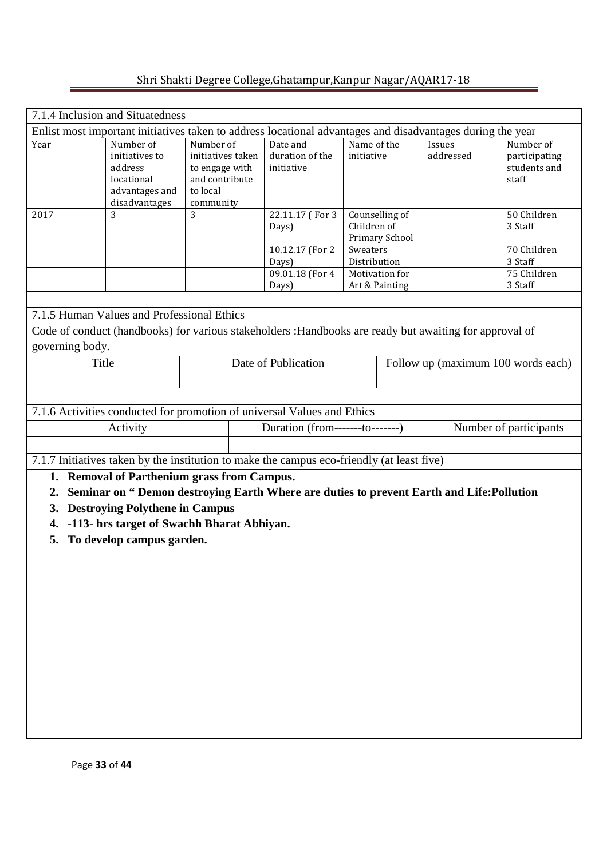|                                                                                                            | 7.1.4 Inclusion and Situatedness                                                        |                                                                                                         |                                           |                           |                                  |                     |                                                     |  |
|------------------------------------------------------------------------------------------------------------|-----------------------------------------------------------------------------------------|---------------------------------------------------------------------------------------------------------|-------------------------------------------|---------------------------|----------------------------------|---------------------|-----------------------------------------------------|--|
| Enlist most important initiatives taken to address locational advantages and disadvantages during the year |                                                                                         |                                                                                                         |                                           |                           |                                  |                     |                                                     |  |
| Year                                                                                                       | Number of<br>initiatives to<br>address<br>locational<br>advantages and<br>disadvantages | Number of<br>initiatives taken<br>to engage with<br>and contribute<br>to local<br>community             | Date and<br>duration of the<br>initiative | Name of the<br>initiative |                                  | Issues<br>addressed | Number of<br>participating<br>students and<br>staff |  |
| 2017                                                                                                       | 3                                                                                       | 3                                                                                                       | 22.11.17 (For 3<br>Days)                  | Children of               | Counselling of<br>Primary School |                     | 50 Children<br>3 Staff                              |  |
|                                                                                                            |                                                                                         |                                                                                                         | 10.12.17 (For 2)                          | Sweaters                  |                                  |                     | 70 Children                                         |  |
|                                                                                                            |                                                                                         |                                                                                                         | Days)<br>09.01.18 (For 4                  | Distribution              | Motivation for                   |                     | 3 Staff<br>75 Children                              |  |
|                                                                                                            |                                                                                         |                                                                                                         | Days)                                     |                           | Art & Painting                   |                     | 3 Staff                                             |  |
|                                                                                                            |                                                                                         |                                                                                                         |                                           |                           |                                  |                     |                                                     |  |
|                                                                                                            | 7.1.5 Human Values and Professional Ethics                                              |                                                                                                         |                                           |                           |                                  |                     |                                                     |  |
|                                                                                                            |                                                                                         | Code of conduct (handbooks) for various stakeholders : Handbooks are ready but awaiting for approval of |                                           |                           |                                  |                     |                                                     |  |
| governing body.                                                                                            |                                                                                         |                                                                                                         |                                           |                           |                                  |                     |                                                     |  |
| Title                                                                                                      |                                                                                         |                                                                                                         | Date of Publication                       |                           |                                  |                     | Follow up (maximum 100 words each)                  |  |
|                                                                                                            |                                                                                         |                                                                                                         |                                           |                           |                                  |                     |                                                     |  |
|                                                                                                            |                                                                                         |                                                                                                         |                                           |                           |                                  |                     |                                                     |  |
|                                                                                                            |                                                                                         | 7.1.6 Activities conducted for promotion of universal Values and Ethics                                 |                                           |                           |                                  |                     |                                                     |  |
|                                                                                                            | Activity                                                                                |                                                                                                         | Duration (from-------to-------)           |                           |                                  |                     | Number of participants                              |  |
|                                                                                                            |                                                                                         |                                                                                                         |                                           |                           |                                  |                     |                                                     |  |
|                                                                                                            |                                                                                         |                                                                                                         |                                           |                           |                                  |                     |                                                     |  |
|                                                                                                            |                                                                                         | 7.1.7 Initiatives taken by the institution to make the campus eco-friendly (at least five)              |                                           |                           |                                  |                     |                                                     |  |
| 1.                                                                                                         |                                                                                         | <b>Removal of Parthenium grass from Campus.</b>                                                         |                                           |                           |                                  |                     |                                                     |  |
| 2.                                                                                                         |                                                                                         | Seminar on "Demon destroying Earth Where are duties to prevent Earth and Life: Pollution                |                                           |                           |                                  |                     |                                                     |  |
| 3.                                                                                                         | <b>Destroying Polythene in Campus</b>                                                   |                                                                                                         |                                           |                           |                                  |                     |                                                     |  |
| 4.                                                                                                         |                                                                                         | -113- hrs target of Swachh Bharat Abhiyan.                                                              |                                           |                           |                                  |                     |                                                     |  |
| 5.                                                                                                         | To develop campus garden.                                                               |                                                                                                         |                                           |                           |                                  |                     |                                                     |  |
|                                                                                                            |                                                                                         |                                                                                                         |                                           |                           |                                  |                     |                                                     |  |
|                                                                                                            |                                                                                         |                                                                                                         |                                           |                           |                                  |                     |                                                     |  |
|                                                                                                            |                                                                                         |                                                                                                         |                                           |                           |                                  |                     |                                                     |  |
|                                                                                                            |                                                                                         |                                                                                                         |                                           |                           |                                  |                     |                                                     |  |
|                                                                                                            |                                                                                         |                                                                                                         |                                           |                           |                                  |                     |                                                     |  |
|                                                                                                            |                                                                                         |                                                                                                         |                                           |                           |                                  |                     |                                                     |  |
|                                                                                                            |                                                                                         |                                                                                                         |                                           |                           |                                  |                     |                                                     |  |
|                                                                                                            |                                                                                         |                                                                                                         |                                           |                           |                                  |                     |                                                     |  |
|                                                                                                            |                                                                                         |                                                                                                         |                                           |                           |                                  |                     |                                                     |  |
|                                                                                                            |                                                                                         |                                                                                                         |                                           |                           |                                  |                     |                                                     |  |
|                                                                                                            |                                                                                         |                                                                                                         |                                           |                           |                                  |                     |                                                     |  |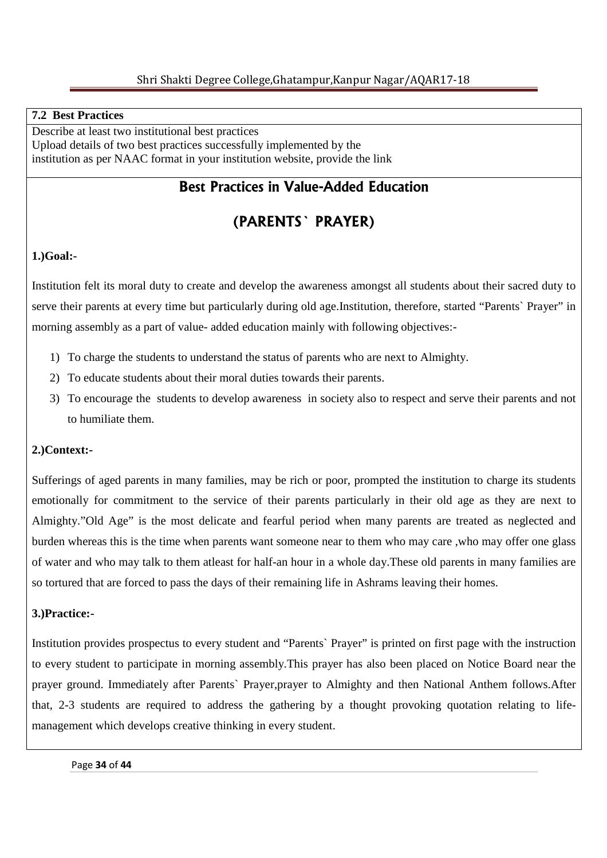## **7.2 Best Practices**

Describe at least two institutional best practices Upload details of two best practices successfully implemented by the institution as per NAAC format in your institution website, provide the link

# **Best Practices in Value-Added Education**

# **(PARENTS` PRAYER)**

## **1.)Goal:-**

Institution felt its moral duty to create and develop the awareness amongst all students about their sacred duty to serve their parents at every time but particularly during old age.Institution, therefore, started "Parents` Prayer" in morning assembly as a part of value- added education mainly with following objectives:-

- 1) To charge the students to understand the status of parents who are next to Almighty.
- 2) To educate students about their moral duties towards their parents.
- 3) To encourage the students to develop awareness in society also to respect and serve their parents and not to humiliate them.

## **2.)Context:-**

Sufferings of aged parents in many families, may be rich or poor, prompted the institution to charge its students emotionally for commitment to the service of their parents particularly in their old age as they are next to Almighty."Old Age" is the most delicate and fearful period when many parents are treated as neglected and burden whereas this is the time when parents want someone near to them who may care ,who may offer one glass of water and who may talk to them atleast for half-an hour in a whole day.These old parents in many families are so tortured that are forced to pass the days of their remaining life in Ashrams leaving their homes.

## **3.)Practice:-**

Institution provides prospectus to every student and "Parents` Prayer" is printed on first page with the instruction to every student to participate in morning assembly.This prayer has also been placed on Notice Board near the prayer ground. Immediately after Parents` Prayer,prayer to Almighty and then National Anthem follows.After that, 2-3 students are required to address the gathering by a thought provoking quotation relating to lifemanagement which develops creative thinking in every student.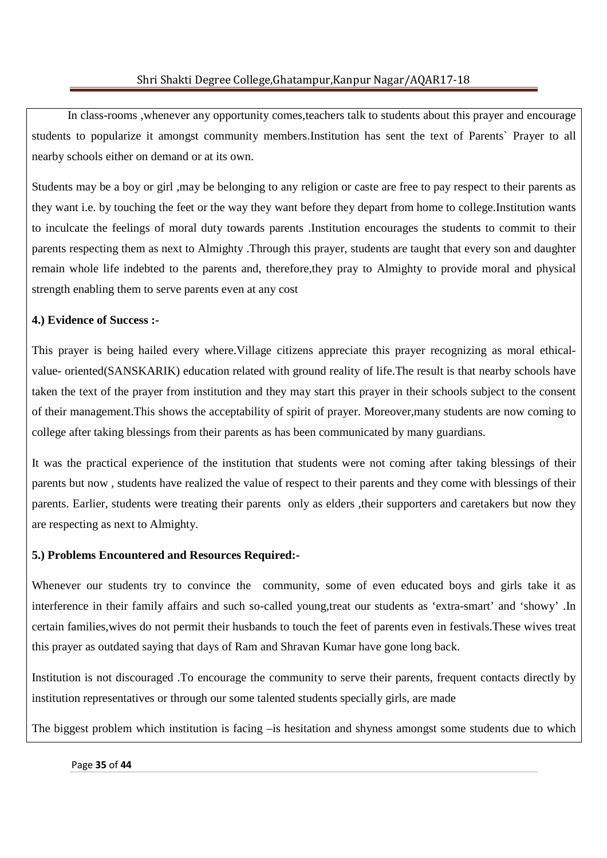In class-rooms ,whenever any opportunity comes,teachers talk to students about this prayer and encourage students to popularize it amongst community members.Institution has sent the text of Parents` Prayer to all nearby schools either on demand or at its own.

Students may be a boy or girl ,may be belonging to any religion or caste are free to pay respect to their parents as they want i.e. by touching the feet or the way they want before they depart from home to college.Institution wants to inculcate the feelings of moral duty towards parents .Institution encourages the students to commit to their parents respecting them as next to Almighty .Through this prayer, students are taught that every son and daughter remain whole life indebted to the parents and, therefore,they pray to Almighty to provide moral and physical strength enabling them to serve parents even at any cost

## **4.) Evidence of Success :-**

This prayer is being hailed every where.Village citizens appreciate this prayer recognizing as moral ethicalvalue- oriented(SANSKARIK) education related with ground reality of life.The result is that nearby schools have taken the text of the prayer from institution and they may start this prayer in their schools subject to the consent of their management.This shows the acceptability of spirit of prayer. Moreover,many students are now coming to college after taking blessings from their parents as has been communicated by many guardians.

It was the practical experience of the institution that students were not coming after taking blessings of their parents but now , students have realized the value of respect to their parents and they come with blessings of their parents. Earlier, students were treating their parents only as elders ,their supporters and caretakers but now they are respecting as next to Almighty.

## **5.) Problems Encountered and Resources Required:-**

Whenever our students try to convince the community, some of even educated boys and girls take it as interference in their family affairs and such so-called young,treat our students as 'extra-smart' and 'showy' .In certain families,wives do not permit their husbands to touch the feet of parents even in festivals.These wives treat this prayer as outdated saying that days of Ram and Shravan Kumar have gone long back.

Institution is not discouraged .To encourage the community to serve their parents, frequent contacts directly by institution representatives or through our some talented students specially girls, are made

The biggest problem which institution is facing –is hesitation and shyness amongst some students due to which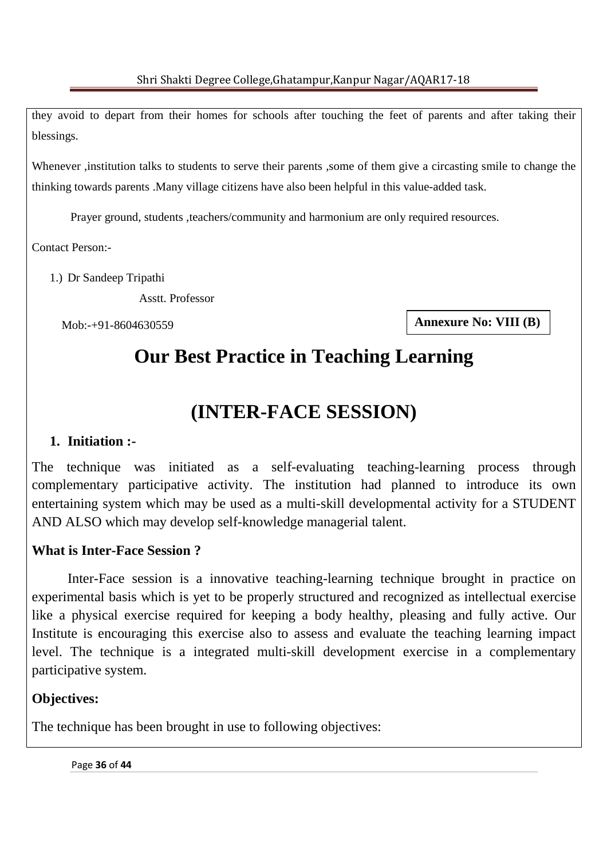they avoid to depart from their homes for schools after touching the feet of parents and after taking their blessings.

Whenever ,institution talks to students to serve their parents ,some of them give a circasting smile to change the thinking towards parents .Many village citizens have also been helpful in this value-added task.

Prayer ground, students ,teachers/community and harmonium are only required resources.

Contact Person:-

1.) Dr Sandeep Tripathi

Asstt. Professor

Mob:-+91-8604630559

**Annexure No: VIII (B)** 

# **Our Best Practice in Teaching Learning**

# **(INTER-FACE SESSION)**

# **1. Initiation :-**

The technique was initiated as a self-evaluating teaching-learning process through complementary participative activity. The institution had planned to introduce its own entertaining system which may be used as a multi-skill developmental activity for a STUDENT AND ALSO which may develop self-knowledge managerial talent.

# **What is Inter-Face Session ?**

 Inter-Face session is a innovative teaching-learning technique brought in practice on experimental basis which is yet to be properly structured and recognized as intellectual exercise like a physical exercise required for keeping a body healthy, pleasing and fully active. Our Institute is encouraging this exercise also to assess and evaluate the teaching learning impact level. The technique is a integrated multi-skill development exercise in a complementary participative system.

# **Objectives:**

The technique has been brought in use to following objectives: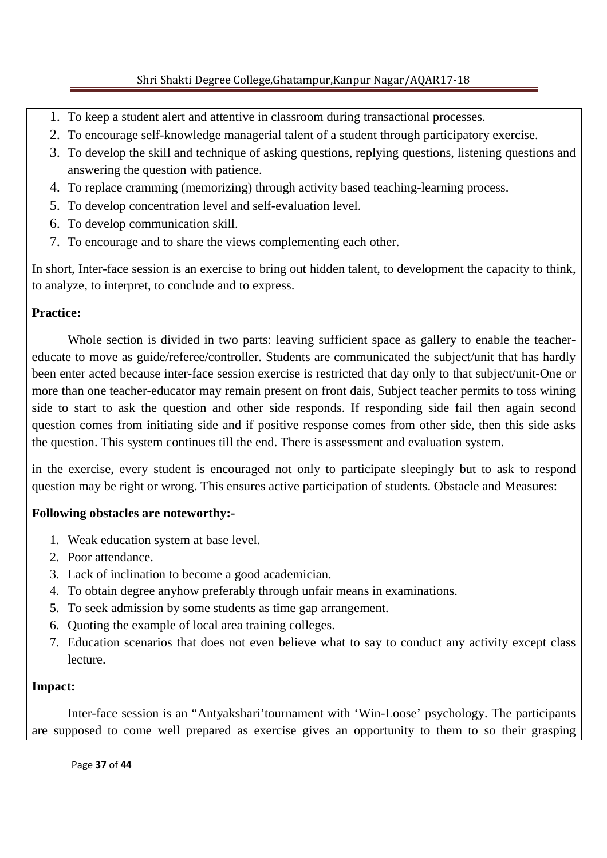- 1. To keep a student alert and attentive in classroom during transactional processes.
- 2. To encourage self-knowledge managerial talent of a student through participatory exercise.
- 3. To develop the skill and technique of asking questions, replying questions, listening questions and answering the question with patience.
- 4. To replace cramming (memorizing) through activity based teaching-learning process.
- 5. To develop concentration level and self-evaluation level.
- 6. To develop communication skill.
- 7. To encourage and to share the views complementing each other.

In short, Inter-face session is an exercise to bring out hidden talent, to development the capacity to think, to analyze, to interpret, to conclude and to express.

# **Practice:**

 Whole section is divided in two parts: leaving sufficient space as gallery to enable the teachereducate to move as guide/referee/controller. Students are communicated the subject/unit that has hardly been enter acted because inter-face session exercise is restricted that day only to that subject/unit-One or more than one teacher-educator may remain present on front dais, Subject teacher permits to toss wining side to start to ask the question and other side responds. If responding side fail then again second question comes from initiating side and if positive response comes from other side, then this side asks the question. This system continues till the end. There is assessment and evaluation system.

in the exercise, every student is encouraged not only to participate sleepingly but to ask to respond question may be right or wrong. This ensures active participation of students. Obstacle and Measures:

## **Following obstacles are noteworthy:-**

- 1. Weak education system at base level.
- 2. Poor attendance.
- 3. Lack of inclination to become a good academician.
- 4. To obtain degree anyhow preferably through unfair means in examinations.
- 5. To seek admission by some students as time gap arrangement.
- 6. Quoting the example of local area training colleges.
- 7. Education scenarios that does not even believe what to say to conduct any activity except class lecture.

## **Impact:**

 Inter-face session is an "Antyakshari'tournament with 'Win-Loose' psychology. The participants are supposed to come well prepared as exercise gives an opportunity to them to so their grasping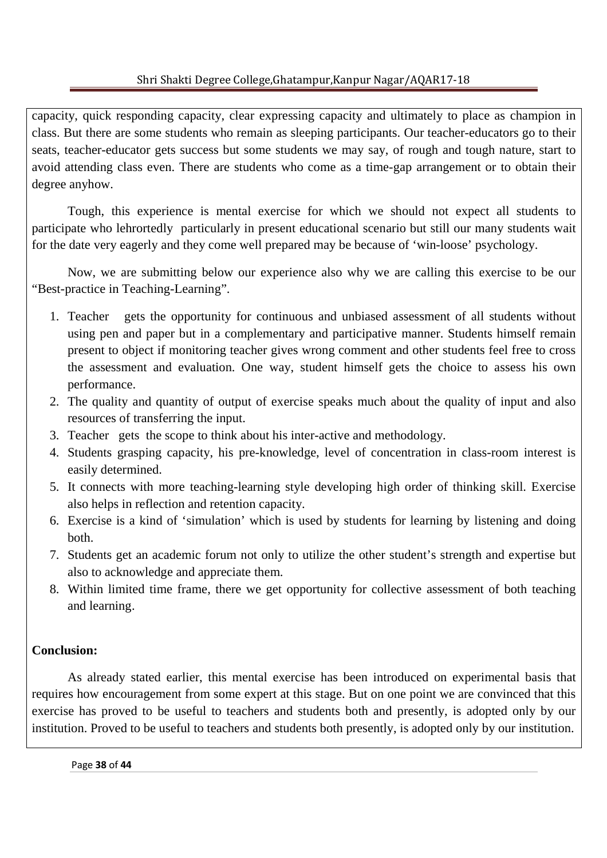capacity, quick responding capacity, clear expressing capacity and ultimately to place as champion in class. But there are some students who remain as sleeping participants. Our teacher-educators go to their seats, teacher-educator gets success but some students we may say, of rough and tough nature, start to avoid attending class even. There are students who come as a time-gap arrangement or to obtain their degree anyhow.

 Tough, this experience is mental exercise for which we should not expect all students to participate who lehrortedly particularly in present educational scenario but still our many students wait for the date very eagerly and they come well prepared may be because of 'win-loose' psychology.

 Now, we are submitting below our experience also why we are calling this exercise to be our "Best-practice in Teaching-Learning".

- 1. Teacher gets the opportunity for continuous and unbiased assessment of all students without using pen and paper but in a complementary and participative manner. Students himself remain present to object if monitoring teacher gives wrong comment and other students feel free to cross the assessment and evaluation. One way, student himself gets the choice to assess his own performance.
- 2. The quality and quantity of output of exercise speaks much about the quality of input and also resources of transferring the input.
- 3. Teacher gets the scope to think about his inter-active and methodology.
- 4. Students grasping capacity, his pre-knowledge, level of concentration in class-room interest is easily determined.
- 5. It connects with more teaching-learning style developing high order of thinking skill. Exercise also helps in reflection and retention capacity.
- 6. Exercise is a kind of 'simulation' which is used by students for learning by listening and doing both.
- 7. Students get an academic forum not only to utilize the other student's strength and expertise but also to acknowledge and appreciate them.
- 8. Within limited time frame, there we get opportunity for collective assessment of both teaching and learning.

# **Conclusion:**

As already stated earlier, this mental exercise has been introduced on experimental basis that requires how encouragement from some expert at this stage. But on one point we are convinced that this exercise has proved to be useful to teachers and students both and presently, is adopted only by our institution. Proved to be useful to teachers and students both presently, is adopted only by our institution.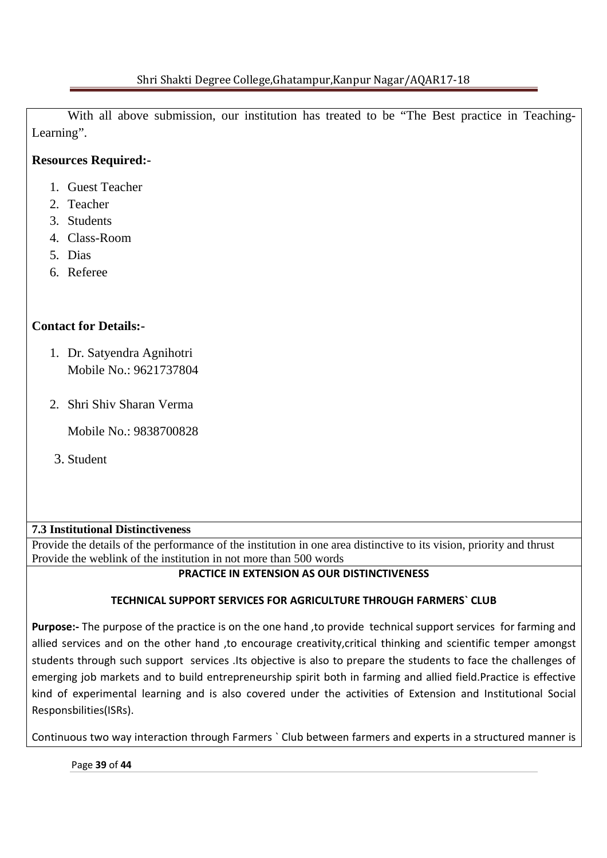With all above submission, our institution has treated to be "The Best practice in Teaching-Learning".

# **Resources Required:-**

- 1. Guest Teacher
- 2. Teacher
- 3. Students
- 4. Class-Room
- 5. Dias
- 6. Referee

# **Contact for Details:-**

- 1. Dr. Satyendra Agnihotri Mobile No.: 9621737804
- 2. Shri Shiv Sharan Verma

Mobile No.: 9838700828

3. Student

## **7.3 Institutional Distinctiveness**

Provide the details of the performance of the institution in one area distinctive to its vision, priority and thrust Provide the weblink of the institution in not more than 500 words

## **PRACTICE IN EXTENSION AS OUR DISTINCTIVENESS**

## **TECHNICAL SUPPORT SERVICES FOR AGRICULTURE THROUGH FARMERS` CLUB**

**Purpose:-** The purpose of the practice is on the one hand ,to provide technical support services for farming and allied services and on the other hand ,to encourage creativity,critical thinking and scientific temper amongst students through such support services .Its objective is also to prepare the students to face the challenges of emerging job markets and to build entrepreneurship spirit both in farming and allied field.Practice is effective kind of experimental learning and is also covered under the activities of Extension and Institutional Social Responsbilities(ISRs).

Continuous two way interaction through Farmers ` Club between farmers and experts in a structured manner is

Page **39** of **44**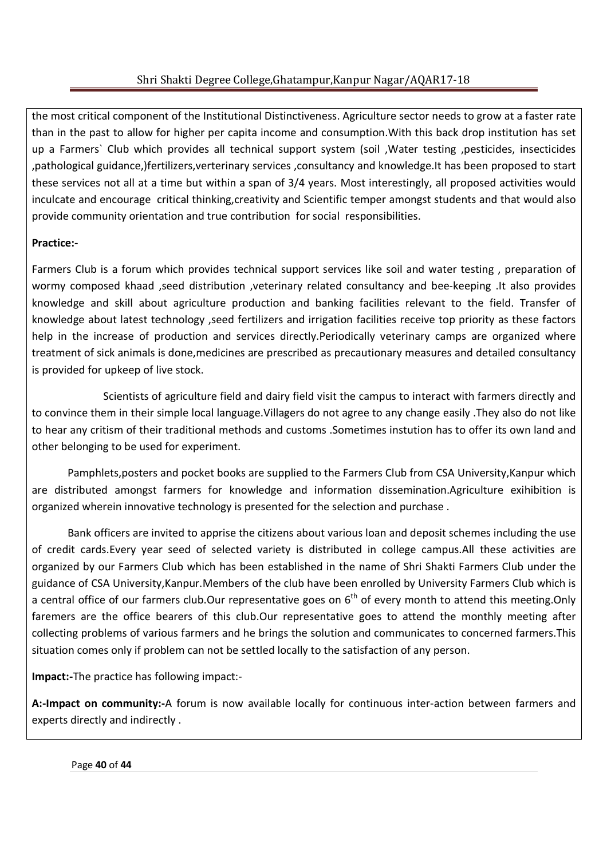the most critical component of the Institutional Distinctiveness. Agriculture sector needs to grow at a faster rate than in the past to allow for higher per capita income and consumption.With this back drop institution has set up a Farmers` Club which provides all technical support system (soil ,Water testing ,pesticides, insecticides ,pathological guidance,)fertilizers,verterinary services ,consultancy and knowledge.It has been proposed to start these services not all at a time but within a span of 3/4 years. Most interestingly, all proposed activities would inculcate and encourage critical thinking,creativity and Scientific temper amongst students and that would also provide community orientation and true contribution for social responsibilities.

# **Practice:-**

Farmers Club is a forum which provides technical support services like soil and water testing , preparation of wormy composed khaad ,seed distribution ,veterinary related consultancy and bee-keeping .It also provides knowledge and skill about agriculture production and banking facilities relevant to the field. Transfer of knowledge about latest technology ,seed fertilizers and irrigation facilities receive top priority as these factors help in the increase of production and services directly. Periodically veterinary camps are organized where treatment of sick animals is done,medicines are prescribed as precautionary measures and detailed consultancy is provided for upkeep of live stock.

 Scientists of agriculture field and dairy field visit the campus to interact with farmers directly and to convince them in their simple local language.Villagers do not agree to any change easily .They also do not like to hear any critism of their traditional methods and customs .Sometimes instution has to offer its own land and other belonging to be used for experiment.

 Pamphlets,posters and pocket books are supplied to the Farmers Club from CSA University,Kanpur which are distributed amongst farmers for knowledge and information dissemination.Agriculture exihibition is organized wherein innovative technology is presented for the selection and purchase .

 Bank officers are invited to apprise the citizens about various loan and deposit schemes including the use of credit cards.Every year seed of selected variety is distributed in college campus.All these activities are organized by our Farmers Club which has been established in the name of Shri Shakti Farmers Club under the guidance of CSA University,Kanpur.Members of the club have been enrolled by University Farmers Club which is a central office of our farmers club.Our representative goes on 6<sup>th</sup> of every month to attend this meeting.Only faremers are the office bearers of this club.Our representative goes to attend the monthly meeting after collecting problems of various farmers and he brings the solution and communicates to concerned farmers.This situation comes only if problem can not be settled locally to the satisfaction of any person.

**Impact:-**The practice has following impact:-

**A:-Impact on community:-**A forum is now available locally for continuous inter-action between farmers and experts directly and indirectly .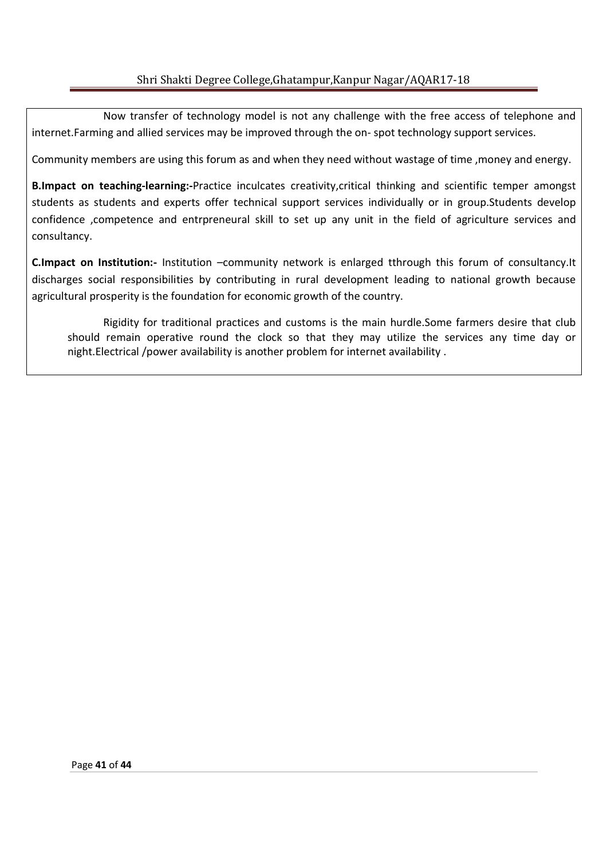Now transfer of technology model is not any challenge with the free access of telephone and internet.Farming and allied services may be improved through the on- spot technology support services.

Community members are using this forum as and when they need without wastage of time ,money and energy.

**B.Impact on teaching-learning:-**Practice inculcates creativity,critical thinking and scientific temper amongst students as students and experts offer technical support services individually or in group.Students develop confidence ,competence and entrpreneural skill to set up any unit in the field of agriculture services and consultancy.

**C.Impact on Institution:-** Institution –community network is enlarged tthrough this forum of consultancy.It discharges social responsibilities by contributing in rural development leading to national growth because agricultural prosperity is the foundation for economic growth of the country.

Rigidity for traditional practices and customs is the main hurdle.Some farmers desire that club should remain operative round the clock so that they may utilize the services any time day or night.Electrical /power availability is another problem for internet availability .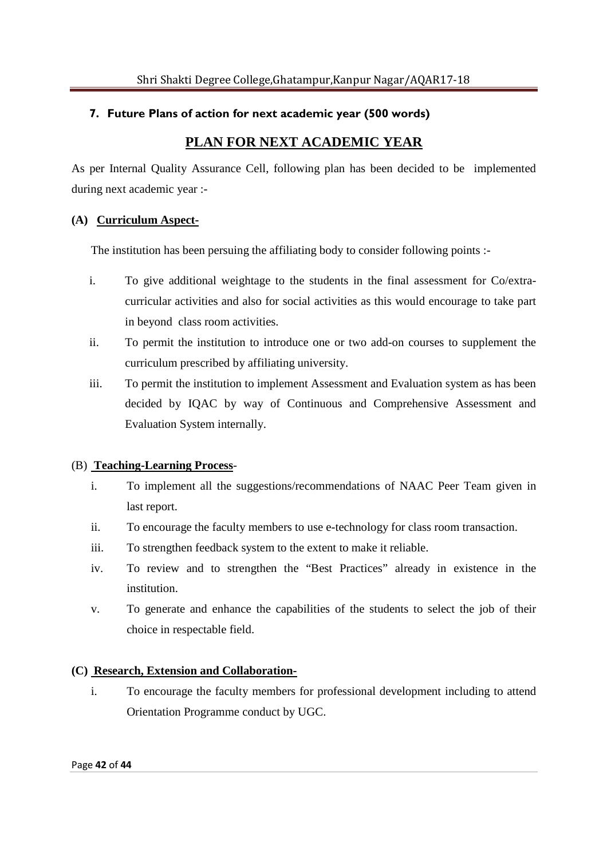## **7. Future Plans of action for next academic year (500 words)**

# **PLAN FOR NEXT ACADEMIC YEAR**

As per Internal Quality Assurance Cell, following plan has been decided to be implemented during next academic year :-

### **(A) Curriculum Aspect-**

The institution has been persuing the affiliating body to consider following points :-

- i. To give additional weightage to the students in the final assessment for Co/extracurricular activities and also for social activities as this would encourage to take part in beyond class room activities.
- ii. To permit the institution to introduce one or two add-on courses to supplement the curriculum prescribed by affiliating university.
- iii. To permit the institution to implement Assessment and Evaluation system as has been decided by IQAC by way of Continuous and Comprehensive Assessment and Evaluation System internally.

#### (B) **Teaching-Learning Process**-

- i. To implement all the suggestions/recommendations of NAAC Peer Team given in last report.
- ii. To encourage the faculty members to use e-technology for class room transaction.
- iii. To strengthen feedback system to the extent to make it reliable.
- iv. To review and to strengthen the "Best Practices" already in existence in the institution.
- v. To generate and enhance the capabilities of the students to select the job of their choice in respectable field.

#### **(C) Research, Extension and Collaboration-**

i. To encourage the faculty members for professional development including to attend Orientation Programme conduct by UGC.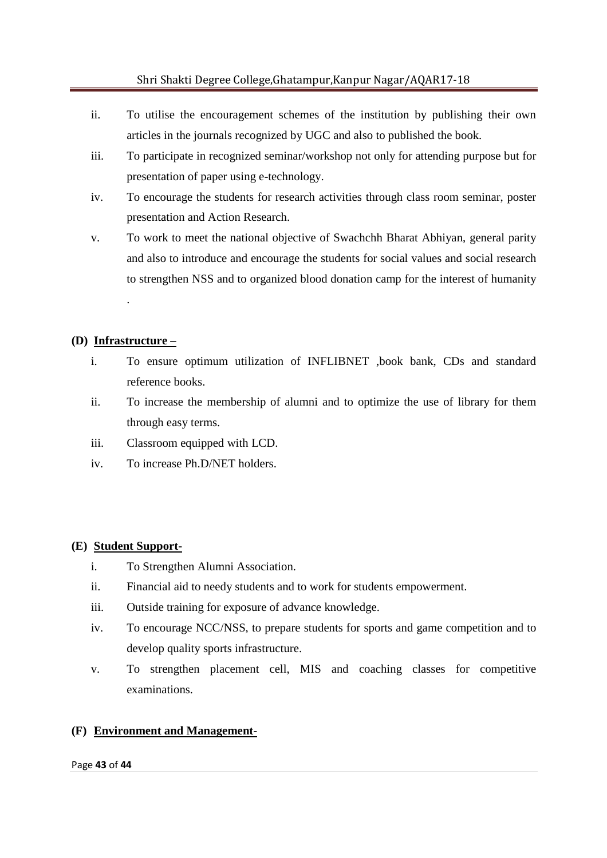- ii. To utilise the encouragement schemes of the institution by publishing their own articles in the journals recognized by UGC and also to published the book.
- iii. To participate in recognized seminar/workshop not only for attending purpose but for presentation of paper using e-technology.
- iv. To encourage the students for research activities through class room seminar, poster presentation and Action Research.
- v. To work to meet the national objective of Swachchh Bharat Abhiyan, general parity and also to introduce and encourage the students for social values and social research to strengthen NSS and to organized blood donation camp for the interest of humanity .

## **(D) Infrastructure –**

- i. To ensure optimum utilization of INFLIBNET ,book bank, CDs and standard reference books.
- ii. To increase the membership of alumni and to optimize the use of library for them through easy terms.
- iii. Classroom equipped with LCD.
- iv. To increase Ph.D/NET holders.

#### **(E) Student Support-**

- i. To Strengthen Alumni Association.
- ii. Financial aid to needy students and to work for students empowerment.
- iii. Outside training for exposure of advance knowledge.
- iv. To encourage NCC/NSS, to prepare students for sports and game competition and to develop quality sports infrastructure.
- v. To strengthen placement cell, MIS and coaching classes for competitive examinations.

## **(F) Environment and Management-**

#### Page **43** of **44**